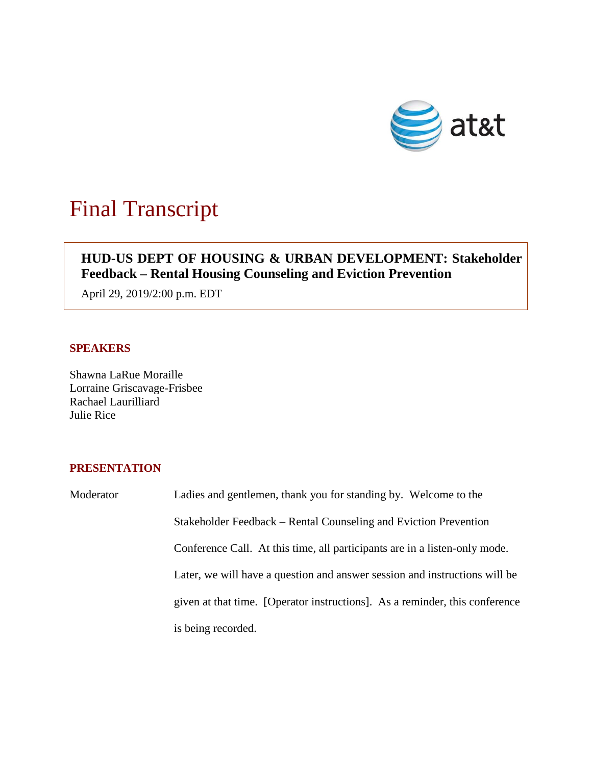

# Final Transcript

## **HUD-US DEPT OF HOUSING & URBAN DEVELOPMENT: Stakeholder Feedback – Rental Housing Counseling and Eviction Prevention**

April 29, 2019/2:00 p.m. EDT

## **SPEAKERS**

Shawna LaRue Moraille Lorraine Griscavage-Frisbee Rachael Laurilliard Julie Rice

### **PRESENTATION**

Moderator Ladies and gentlemen, thank you for standing by. Welcome to the Stakeholder Feedback – Rental Counseling and Eviction Prevention Conference Call. At this time, all participants are in a listen-only mode. Later, we will have a question and answer session and instructions will be given at that time. [Operator instructions]. As a reminder, this conference is being recorded.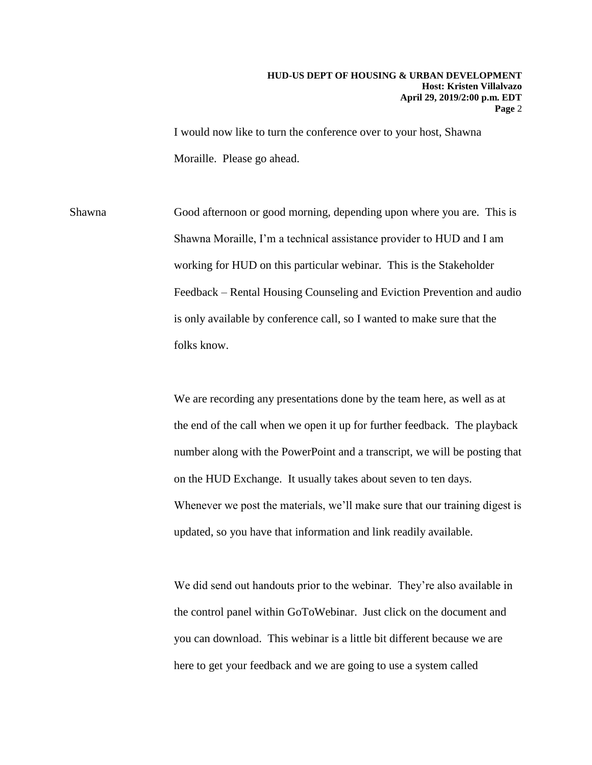I would now like to turn the conference over to your host, Shawna Moraille. Please go ahead.

Shawna Good afternoon or good morning, depending upon where you are. This is Shawna Moraille, I'm a technical assistance provider to HUD and I am working for HUD on this particular webinar. This is the Stakeholder Feedback – Rental Housing Counseling and Eviction Prevention and audio is only available by conference call, so I wanted to make sure that the folks know.

> We are recording any presentations done by the team here, as well as at the end of the call when we open it up for further feedback. The playback number along with the PowerPoint and a transcript, we will be posting that on the HUD Exchange. It usually takes about seven to ten days. Whenever we post the materials, we'll make sure that our training digest is updated, so you have that information and link readily available.

 here to get your feedback and we are going to use a system called We did send out handouts prior to the webinar. They're also available in the control panel within GoToWebinar. Just click on the document and you can download. This webinar is a little bit different because we are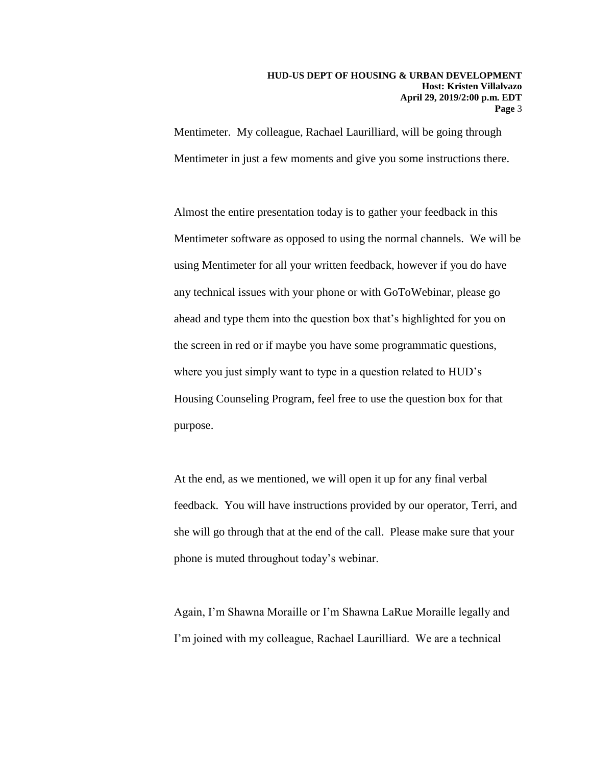Mentimeter. My colleague, Rachael Laurilliard, will be going through Mentimeter in just a few moments and give you some instructions there.

 using Mentimeter for all your written feedback, however if you do have Almost the entire presentation today is to gather your feedback in this Mentimeter software as opposed to using the normal channels. We will be any technical issues with your phone or with GoToWebinar, please go ahead and type them into the question box that's highlighted for you on the screen in red or if maybe you have some programmatic questions, where you just simply want to type in a question related to HUD's Housing Counseling Program, feel free to use the question box for that purpose.

At the end, as we mentioned, we will open it up for any final verbal feedback. You will have instructions provided by our operator, Terri, and she will go through that at the end of the call. Please make sure that your phone is muted throughout today's webinar.

 Again, I'm Shawna Moraille or I'm Shawna LaRue Moraille legally and I'm joined with my colleague, Rachael Laurilliard. We are a technical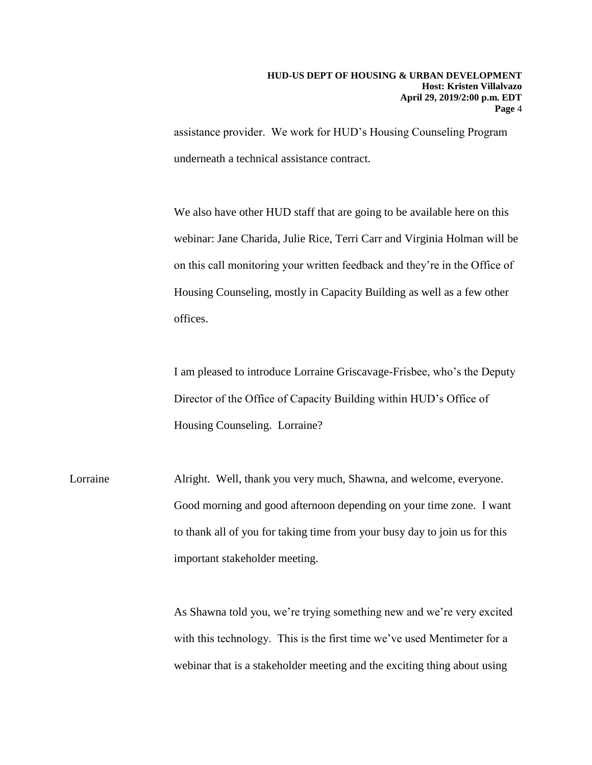assistance provider. We work for HUD's Housing Counseling Program underneath a technical assistance contract.

We also have other HUD staff that are going to be available here on this webinar: Jane Charida, Julie Rice, Terri Carr and Virginia Holman will be on this call monitoring your written feedback and they're in the Office of Housing Counseling, mostly in Capacity Building as well as a few other offices.

I am pleased to introduce Lorraine Griscavage-Frisbee, who's the Deputy Director of the Office of Capacity Building within HUD's Office of Housing Counseling. Lorraine?

Lorraine Alright. Well, thank you very much, Shawna, and welcome, everyone. Good morning and good afternoon depending on your time zone. I want to thank all of you for taking time from your busy day to join us for this important stakeholder meeting.

> webinar that is a stakeholder meeting and the exciting thing about using As Shawna told you, we're trying something new and we're very excited with this technology. This is the first time we've used Mentimeter for a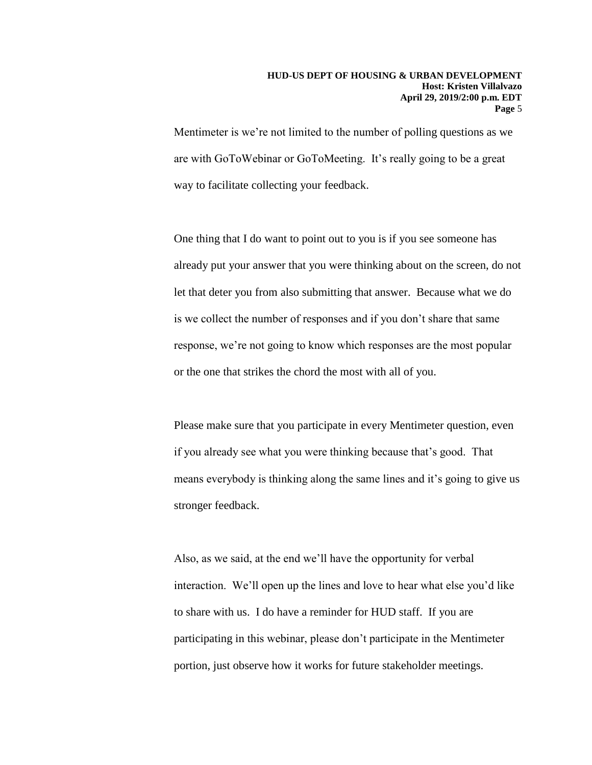Mentimeter is we're not limited to the number of polling questions as we are with GoToWebinar or GoToMeeting. It's really going to be a great way to facilitate collecting your feedback.

One thing that I do want to point out to you is if you see someone has already put your answer that you were thinking about on the screen, do not let that deter you from also submitting that answer. Because what we do is we collect the number of responses and if you don't share that same response, we're not going to know which responses are the most popular or the one that strikes the chord the most with all of you.

Please make sure that you participate in every Mentimeter question, even if you already see what you were thinking because that's good. That means everybody is thinking along the same lines and it's going to give us stronger feedback.

 interaction. We'll open up the lines and love to hear what else you'd like Also, as we said, at the end we'll have the opportunity for verbal to share with us. I do have a reminder for HUD staff. If you are participating in this webinar, please don't participate in the Mentimeter portion, just observe how it works for future stakeholder meetings.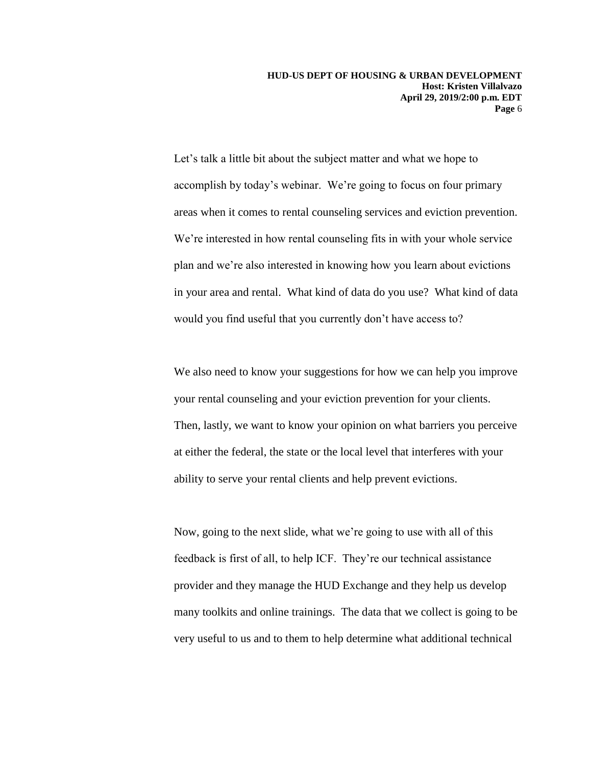in your area and rental. What kind of data do you use? What kind of data Let's talk a little bit about the subject matter and what we hope to accomplish by today's webinar. We're going to focus on four primary areas when it comes to rental counseling services and eviction prevention. We're interested in how rental counseling fits in with your whole service plan and we're also interested in knowing how you learn about evictions would you find useful that you currently don't have access to?

your rental counseling and your eviction prevention for your clients. We also need to know your suggestions for how we can help you improve Then, lastly, we want to know your opinion on what barriers you perceive at either the federal, the state or the local level that interferes with your ability to serve your rental clients and help prevent evictions.

Now, going to the next slide, what we're going to use with all of this feedback is first of all, to help ICF. They're our technical assistance provider and they manage the HUD Exchange and they help us develop many toolkits and online trainings. The data that we collect is going to be very useful to us and to them to help determine what additional technical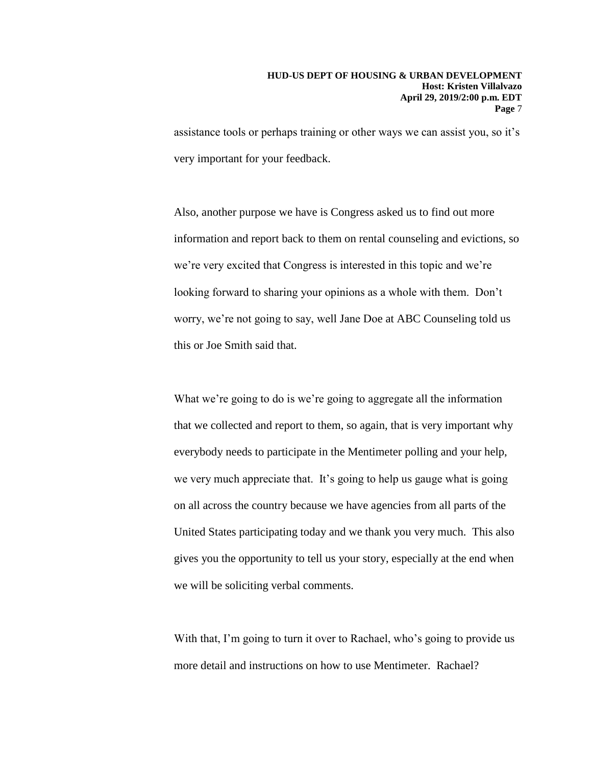assistance tools or perhaps training or other ways we can assist you, so it's very important for your feedback.

Also, another purpose we have is Congress asked us to find out more information and report back to them on rental counseling and evictions, so we're very excited that Congress is interested in this topic and we're looking forward to sharing your opinions as a whole with them. Don't worry, we're not going to say, well Jane Doe at ABC Counseling told us this or Joe Smith said that.

 on all across the country because we have agencies from all parts of the United States participating today and we thank you very much. This also What we're going to do is we're going to aggregate all the information that we collected and report to them, so again, that is very important why everybody needs to participate in the Mentimeter polling and your help, we very much appreciate that. It's going to help us gauge what is going gives you the opportunity to tell us your story, especially at the end when we will be soliciting verbal comments.

With that, I'm going to turn it over to Rachael, who's going to provide us more detail and instructions on how to use Mentimeter. Rachael?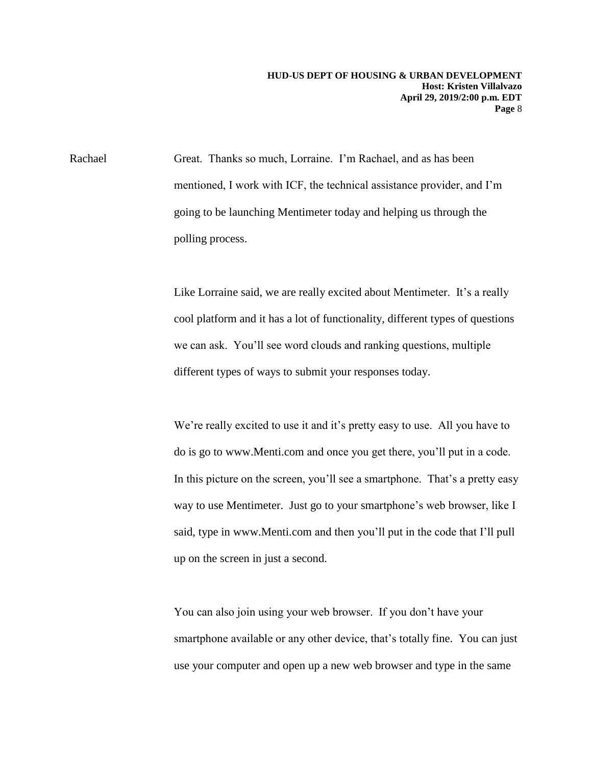Rachael Great. Thanks so much, Lorraine. I'm Rachael, and as has been mentioned, I work with ICF, the technical assistance provider, and I'm going to be launching Mentimeter today and helping us through the polling process.

> Like Lorraine said, we are really excited about Mentimeter. It's a really cool platform and it has a lot of functionality, different types of questions we can ask. You'll see word clouds and ranking questions, multiple different types of ways to submit your responses today.

 way to use Mentimeter. Just go to your smartphone's web browser, like I We're really excited to use it and it's pretty easy to use. All you have to do is go to www.Menti.com and once you get there, you'll put in a code. In this picture on the screen, you'll see a smartphone. That's a pretty easy said, type in www.Menti.com and then you'll put in the code that I'll pull up on the screen in just a second.

You can also join using your web browser. If you don't have your smartphone available or any other device, that's totally fine. You can just use your computer and open up a new web browser and type in the same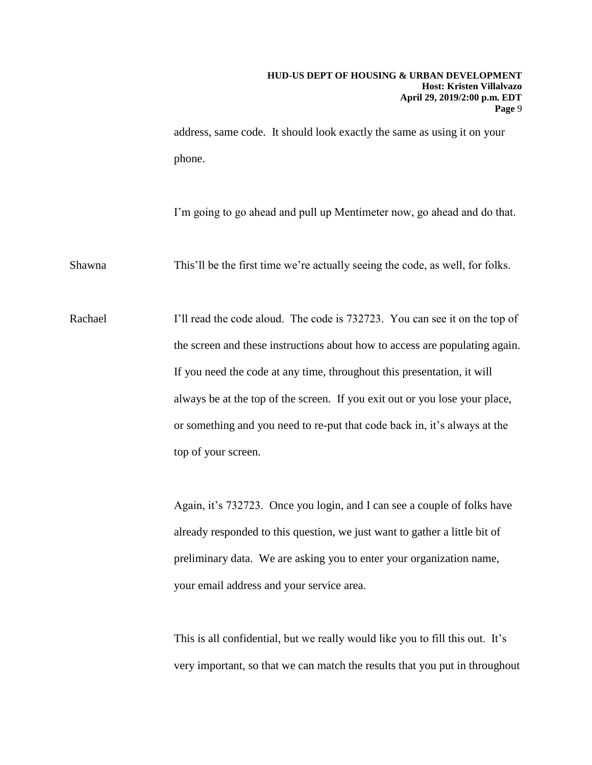address, same code. It should look exactly the same as using it on your phone.

I'm going to go ahead and pull up Mentimeter now, go ahead and do that.

Shawna This'll be the first time we're actually seeing the code, as well, for folks.

 always be at the top of the screen. If you exit out or you lose your place, Rachael I'll read the code aloud. The code is 732723. You can see it on the top of the screen and these instructions about how to access are populating again. If you need the code at any time, throughout this presentation, it will or something and you need to re-put that code back in, it's always at the top of your screen.

> Again, it's 732723. Once you login, and I can see a couple of folks have already responded to this question, we just want to gather a little bit of preliminary data. We are asking you to enter your organization name, your email address and your service area.

This is all confidential, but we really would like you to fill this out. It's very important, so that we can match the results that you put in throughout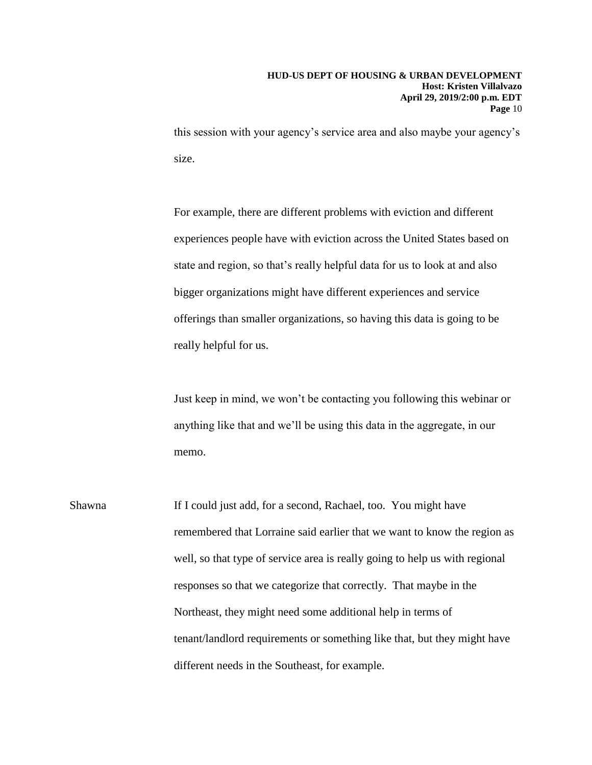this session with your agency's service area and also maybe your agency's size.

For example, there are different problems with eviction and different experiences people have with eviction across the United States based on state and region, so that's really helpful data for us to look at and also bigger organizations might have different experiences and service offerings than smaller organizations, so having this data is going to be really helpful for us.

Just keep in mind, we won't be contacting you following this webinar or anything like that and we'll be using this data in the aggregate, in our memo.

Shawna If I could just add, for a second, Rachael, too. You might have remembered that Lorraine said earlier that we want to know the region as well, so that type of service area is really going to help us with regional responses so that we categorize that correctly. That maybe in the Northeast, they might need some additional help in terms of tenant/landlord requirements or something like that, but they might have different needs in the Southeast, for example.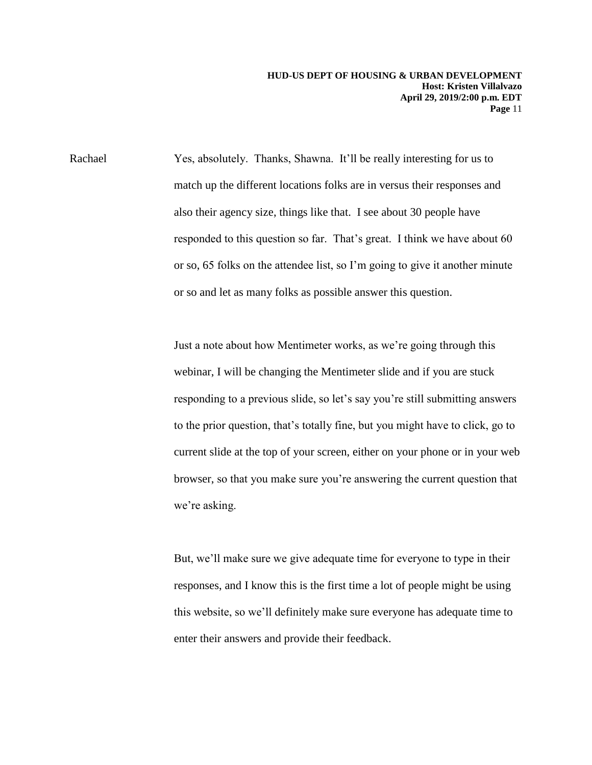Rachael Yes, absolutely. Thanks, Shawna. It'll be really interesting for us to match up the different locations folks are in versus their responses and also their agency size, things like that. I see about 30 people have responded to this question so far. That's great. I think we have about 60 or so, 65 folks on the attendee list, so I'm going to give it another minute or so and let as many folks as possible answer this question.

> responding to a previous slide, so let's say you're still submitting answers Just a note about how Mentimeter works, as we're going through this webinar, I will be changing the Mentimeter slide and if you are stuck to the prior question, that's totally fine, but you might have to click, go to current slide at the top of your screen, either on your phone or in your web browser, so that you make sure you're answering the current question that we're asking.

But, we'll make sure we give adequate time for everyone to type in their responses, and I know this is the first time a lot of people might be using this website, so we'll definitely make sure everyone has adequate time to enter their answers and provide their feedback.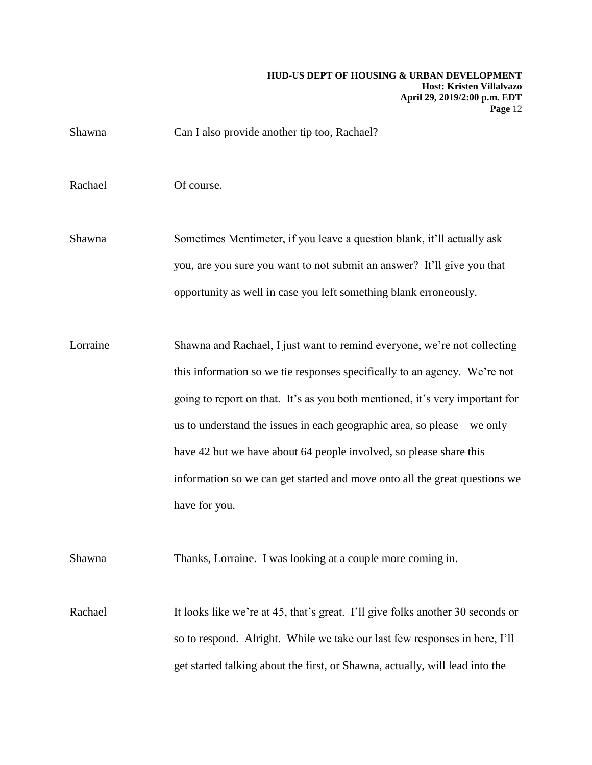Shawna Can I also provide another tip too, Rachael?

Rachael Of course.

 you, are you sure you want to not submit an answer? It'll give you that Shawna Sometimes Mentimeter, if you leave a question blank, it'll actually ask opportunity as well in case you left something blank erroneously.

Lorraine Shawna and Rachael, I just want to remind everyone, we're not collecting this information so we tie responses specifically to an agency. We're not going to report on that. It's as you both mentioned, it's very important for us to understand the issues in each geographic area, so please—we only have 42 but we have about 64 people involved, so please share this information so we can get started and move onto all the great questions we have for you.

Shawna Thanks, Lorraine. I was looking at a couple more coming in.

 so to respond. Alright. While we take our last few responses in here, I'll Rachael It looks like we're at 45, that's great. I'll give folks another 30 seconds or get started talking about the first, or Shawna, actually, will lead into the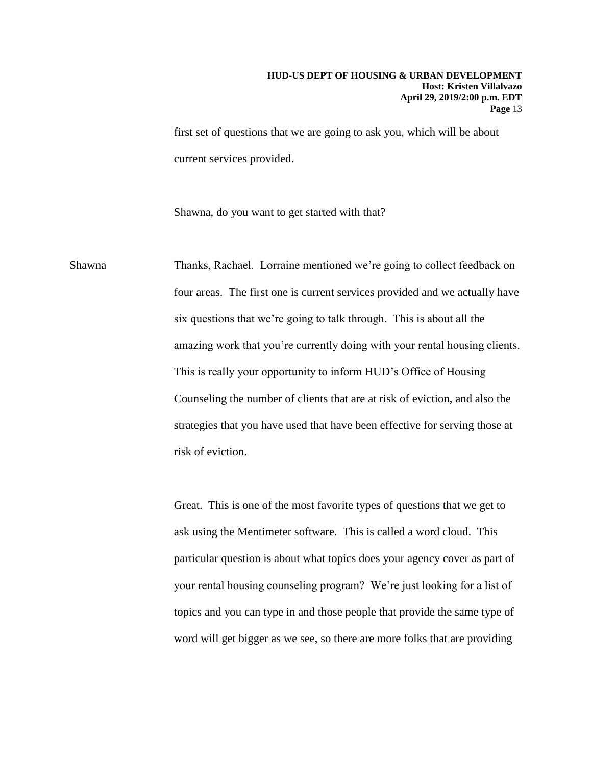first set of questions that we are going to ask you, which will be about current services provided.

Shawna, do you want to get started with that?

Shawna Thanks, Rachael. Lorraine mentioned we're going to collect feedback on four areas. The first one is current services provided and we actually have six questions that we're going to talk through. This is about all the amazing work that you're currently doing with your rental housing clients. This is really your opportunity to inform HUD's Office of Housing Counseling the number of clients that are at risk of eviction, and also the strategies that you have used that have been effective for serving those at risk of eviction.

> your rental housing counseling program? We're just looking for a list of Great. This is one of the most favorite types of questions that we get to ask using the Mentimeter software. This is called a word cloud. This particular question is about what topics does your agency cover as part of topics and you can type in and those people that provide the same type of word will get bigger as we see, so there are more folks that are providing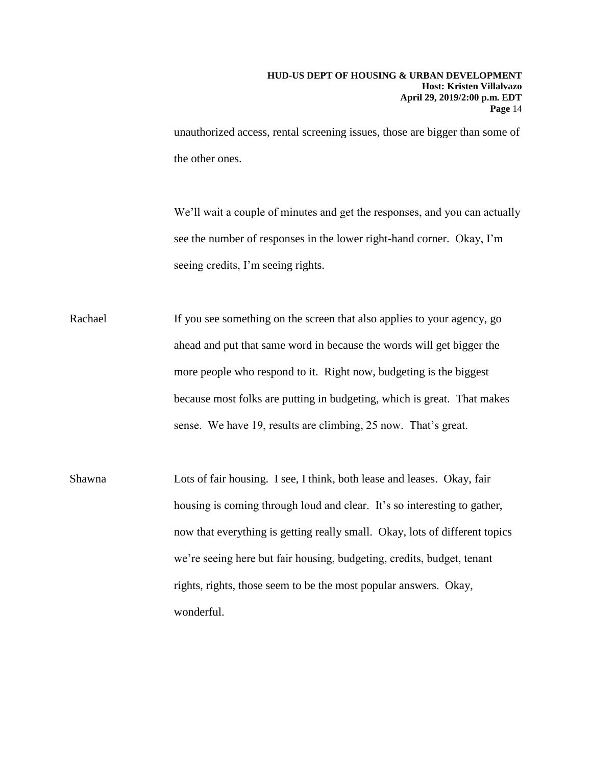unauthorized access, rental screening issues, those are bigger than some of the other ones.

 see the number of responses in the lower right-hand corner. Okay, I'm We'll wait a couple of minutes and get the responses, and you can actually seeing credits, I'm seeing rights.

Rachael If you see something on the screen that also applies to your agency, go ahead and put that same word in because the words will get bigger the more people who respond to it. Right now, budgeting is the biggest because most folks are putting in budgeting, which is great. That makes sense. We have 19, results are climbing, 25 now. That's great.

Shawna Lots of fair housing. I see, I think, both lease and leases. Okay, fair housing is coming through loud and clear. It's so interesting to gather, now that everything is getting really small. Okay, lots of different topics we're seeing here but fair housing, budgeting, credits, budget, tenant rights, rights, those seem to be the most popular answers. Okay, wonderful.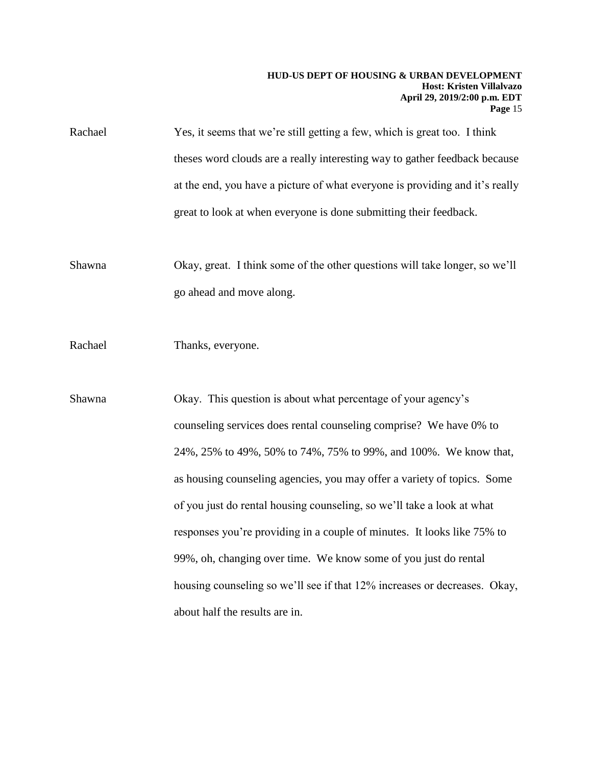theses word clouds are a really interesting way to gather feedback because Rachael Yes, it seems that we're still getting a few, which is great too. I think at the end, you have a picture of what everyone is providing and it's really great to look at when everyone is done submitting their feedback.

Shawna Okay, great. I think some of the other questions will take longer, so we'll go ahead and move along.

Rachael Thanks, everyone.

 counseling services does rental counseling comprise? We have 0% to Shawna Okay. This question is about what percentage of your agency's 24%, 25% to 49%, 50% to 74%, 75% to 99%, and 100%. We know that, as housing counseling agencies, you may offer a variety of topics. Some of you just do rental housing counseling, so we'll take a look at what responses you're providing in a couple of minutes. It looks like 75% to 99%, oh, changing over time. We know some of you just do rental housing counseling so we'll see if that 12% increases or decreases. Okay, about half the results are in.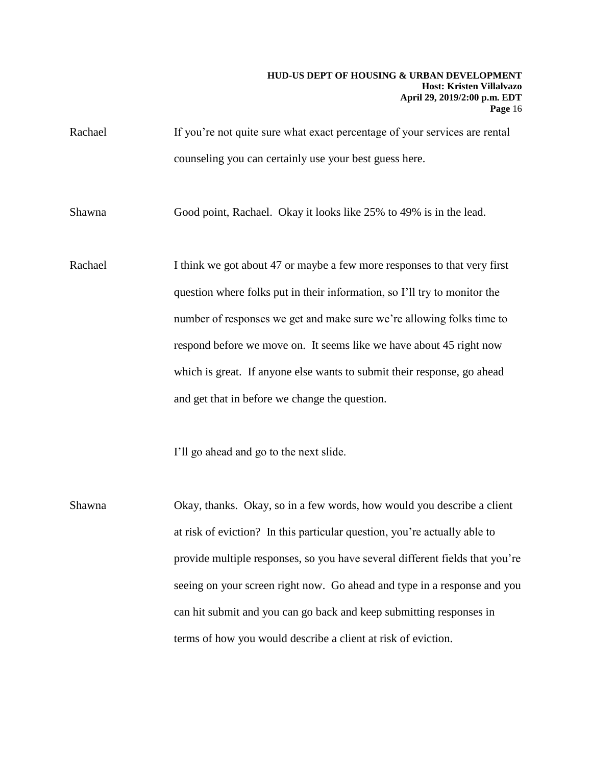Rachael If you're not quite sure what exact percentage of your services are rental counseling you can certainly use your best guess here.

Shawna Good point, Rachael. Okay it looks like 25% to 49% is in the lead.

Rachael I think we got about 47 or maybe a few more responses to that very first question where folks put in their information, so I'll try to monitor the number of responses we get and make sure we're allowing folks time to respond before we move on. It seems like we have about 45 right now which is great. If anyone else wants to submit their response, go ahead and get that in before we change the question.

I'll go ahead and go to the next slide.

Shawna Okay, thanks. Okay, so in a few words, how would you describe a client at risk of eviction? In this particular question, you're actually able to provide multiple responses, so you have several different fields that you're seeing on your screen right now. Go ahead and type in a response and you can hit submit and you can go back and keep submitting responses in terms of how you would describe a client at risk of eviction.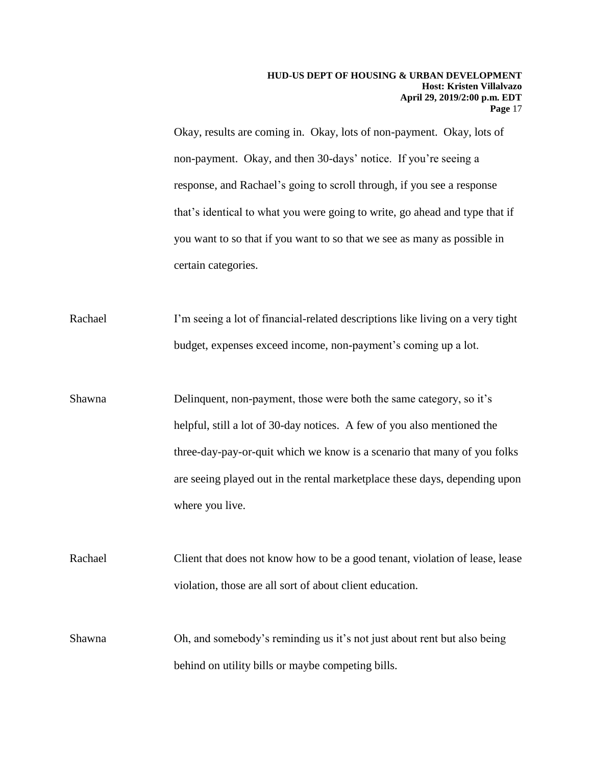non-payment. Okay, and then 30-days' notice. If you're seeing a you want to so that if you want to so that we see as many as possible in Okay, results are coming in. Okay, lots of non-payment. Okay, lots of response, and Rachael's going to scroll through, if you see a response that's identical to what you were going to write, go ahead and type that if certain categories.

Rachael I'm seeing a lot of financial-related descriptions like living on a very tight budget, expenses exceed income, non-payment's coming up a lot.

Shawna Delinquent, non-payment, those were both the same category, so it's helpful, still a lot of 30-day notices. A few of you also mentioned the three-day-pay-or-quit which we know is a scenario that many of you folks are seeing played out in the rental marketplace these days, depending upon where you live.

Rachael Client that does not know how to be a good tenant, violation of lease, lease violation, those are all sort of about client education.

Shawna Oh, and somebody's reminding us it's not just about rent but also being behind on utility bills or maybe competing bills.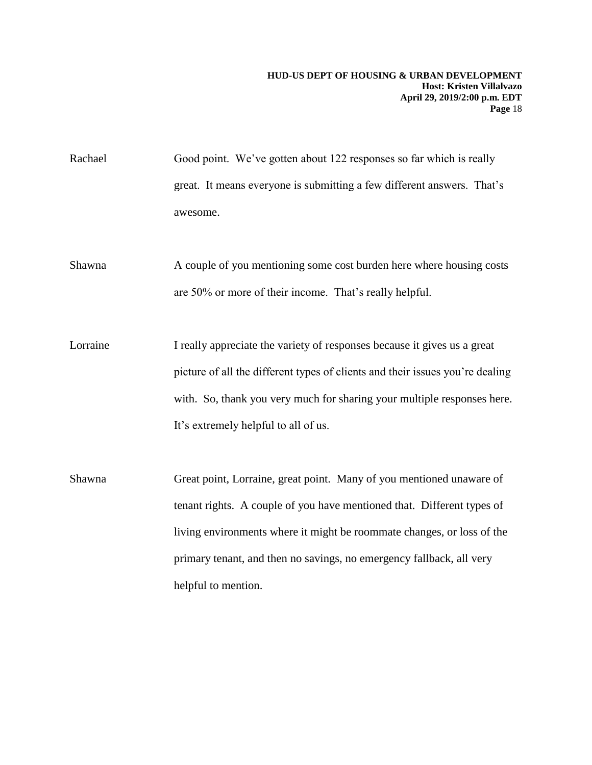Rachael Good point. We've gotten about 122 responses so far which is really great. It means everyone is submitting a few different answers. That's awesome.

Shawna A couple of you mentioning some cost burden here where housing costs are 50% or more of their income. That's really helpful.

Lorraine I really appreciate the variety of responses because it gives us a great picture of all the different types of clients and their issues you're dealing with. So, thank you very much for sharing your multiple responses here. It's extremely helpful to all of us.

Shawna Great point, Lorraine, great point. Many of you mentioned unaware of tenant rights. A couple of you have mentioned that. Different types of living environments where it might be roommate changes, or loss of the primary tenant, and then no savings, no emergency fallback, all very helpful to mention.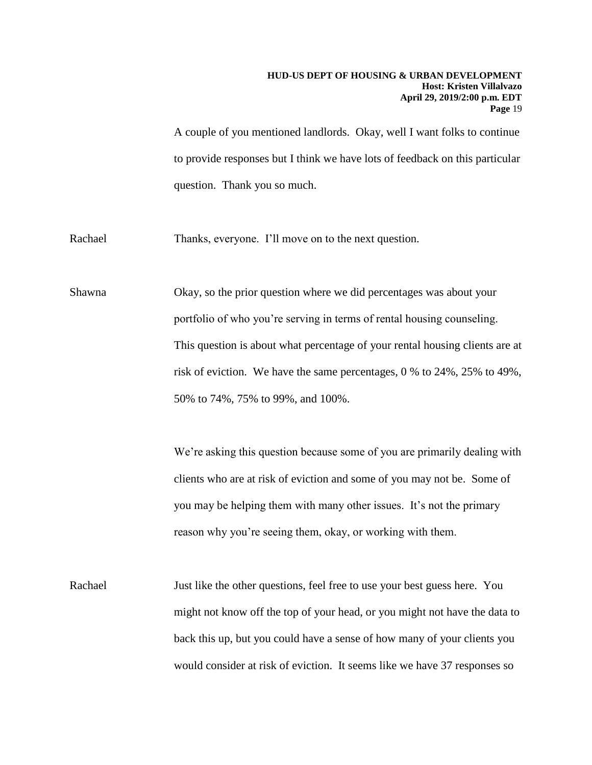A couple of you mentioned landlords. Okay, well I want folks to continue to provide responses but I think we have lots of feedback on this particular question. Thank you so much.

Rachael Thanks, everyone. I'll move on to the next question.

Shawna Okay, so the prior question where we did percentages was about your portfolio of who you're serving in terms of rental housing counseling. This question is about what percentage of your rental housing clients are at risk of eviction. We have the same percentages, 0 % to 24%, 25% to 49%, 50% to 74%, 75% to 99%, and 100%.

> We're asking this question because some of you are primarily dealing with clients who are at risk of eviction and some of you may not be. Some of you may be helping them with many other issues. It's not the primary reason why you're seeing them, okay, or working with them.

Rachael Just like the other questions, feel free to use your best guess here. You might not know off the top of your head, or you might not have the data to back this up, but you could have a sense of how many of your clients you would consider at risk of eviction. It seems like we have 37 responses so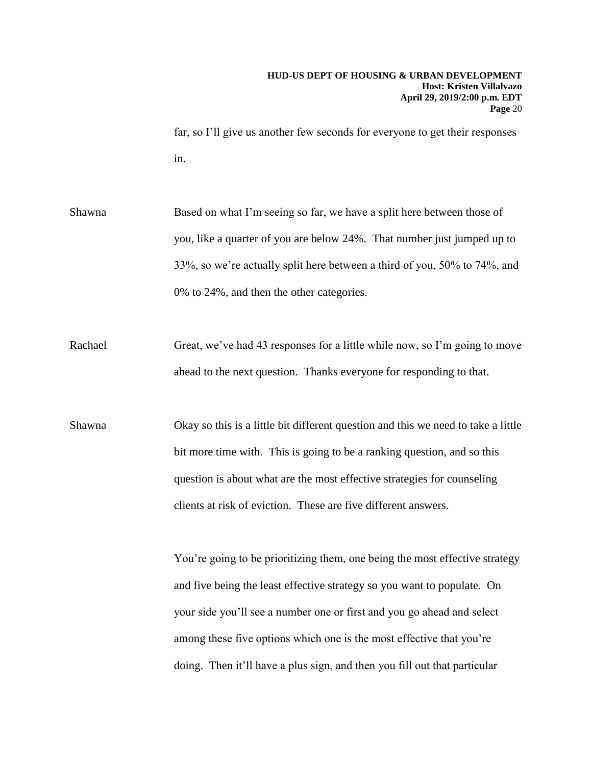far, so I'll give us another few seconds for everyone to get their responses in.

Shawna Based on what I'm seeing so far, we have a split here between those of you, like a quarter of you are below 24%. That number just jumped up to 33%, so we're actually split here between a third of you, 50% to 74%, and 0% to 24%, and then the other categories.

Rachael Great, we've had 43 responses for a little while now, so I'm going to move ahead to the next question. Thanks everyone for responding to that.

Shawna Okay so this is a little bit different question and this we need to take a little bit more time with. This is going to be a ranking question, and so this question is about what are the most effective strategies for counseling clients at risk of eviction. These are five different answers.

> You're going to be prioritizing them, one being the most effective strategy and five being the least effective strategy so you want to populate. On your side you'll see a number one or first and you go ahead and select among these five options which one is the most effective that you're doing. Then it'll have a plus sign, and then you fill out that particular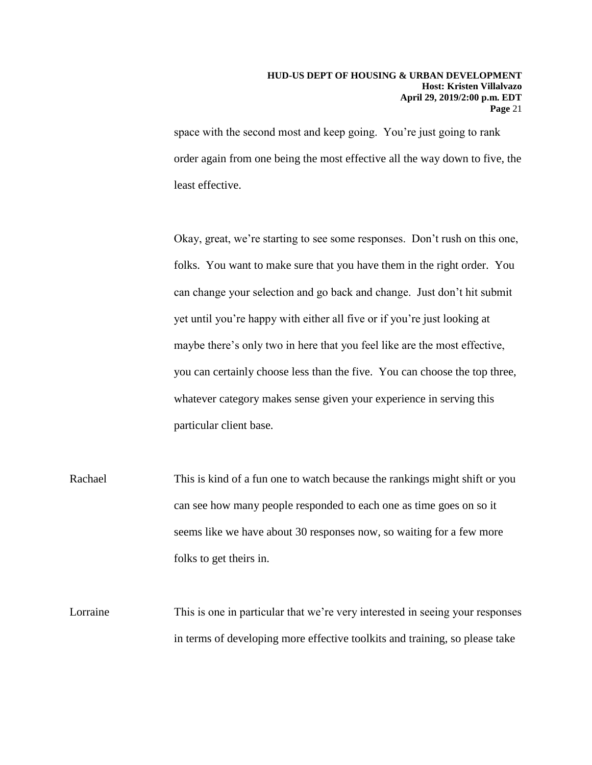space with the second most and keep going. You're just going to rank order again from one being the most effective all the way down to five, the least effective.

Okay, great, we're starting to see some responses. Don't rush on this one, folks. You want to make sure that you have them in the right order. You can change your selection and go back and change. Just don't hit submit yet until you're happy with either all five or if you're just looking at maybe there's only two in here that you feel like are the most effective, you can certainly choose less than the five. You can choose the top three, whatever category makes sense given your experience in serving this particular client base.

 seems like we have about 30 responses now, so waiting for a few more Rachael This is kind of a fun one to watch because the rankings might shift or you can see how many people responded to each one as time goes on so it folks to get theirs in.

Lorraine This is one in particular that we're very interested in seeing your responses in terms of developing more effective toolkits and training, so please take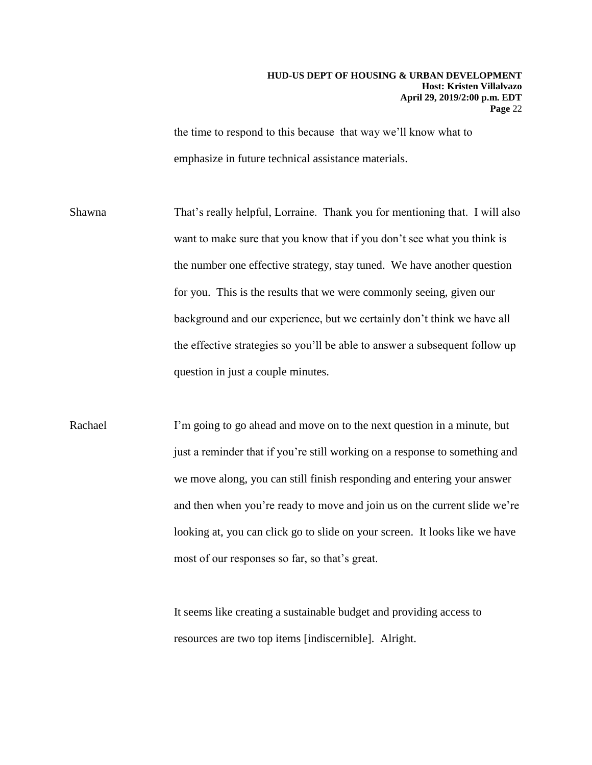the time to respond to this because that way we'll know what to emphasize in future technical assistance materials.

 the effective strategies so you'll be able to answer a subsequent follow up Shawna That's really helpful, Lorraine. Thank you for mentioning that. I will also want to make sure that you know that if you don't see what you think is the number one effective strategy, stay tuned. We have another question for you. This is the results that we were commonly seeing, given our background and our experience, but we certainly don't think we have all question in just a couple minutes.

Rachael I'm going to go ahead and move on to the next question in a minute, but just a reminder that if you're still working on a response to something and we move along, you can still finish responding and entering your answer and then when you're ready to move and join us on the current slide we're looking at, you can click go to slide on your screen. It looks like we have most of our responses so far, so that's great.

> It seems like creating a sustainable budget and providing access to resources are two top items [indiscernible]. Alright.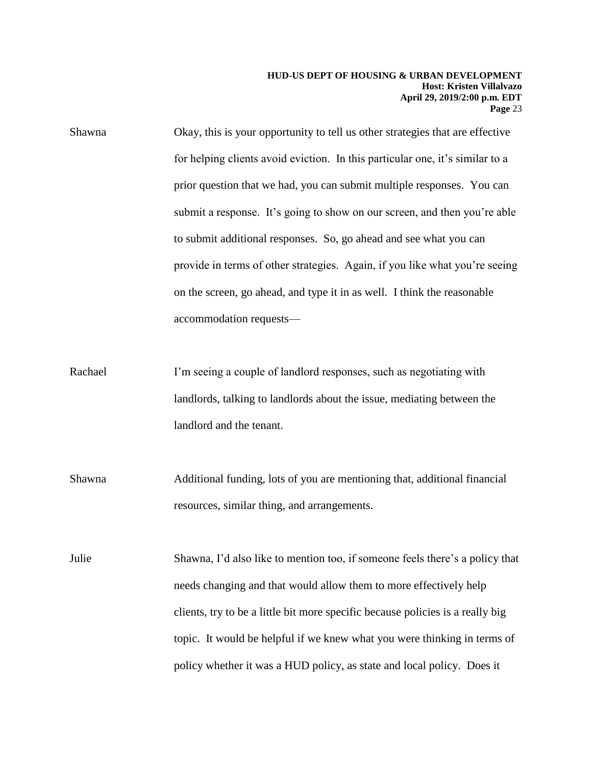Shawna Okay, this is your opportunity to tell us other strategies that are effective for helping clients avoid eviction. In this particular one, it's similar to a prior question that we had, you can submit multiple responses. You can submit a response. It's going to show on our screen, and then you're able to submit additional responses. So, go ahead and see what you can provide in terms of other strategies. Again, if you like what you're seeing on the screen, go ahead, and type it in as well. I think the reasonable accommodation requests—

- Rachael I'm seeing a couple of landlord responses, such as negotiating with landlords, talking to landlords about the issue, mediating between the landlord and the tenant.
- Shawna Additional funding, lots of you are mentioning that, additional financial resources, similar thing, and arrangements.

Julie Shawna, I'd also like to mention too, if someone feels there's a policy that needs changing and that would allow them to more effectively help clients, try to be a little bit more specific because policies is a really big topic. It would be helpful if we knew what you were thinking in terms of policy whether it was a HUD policy, as state and local policy. Does it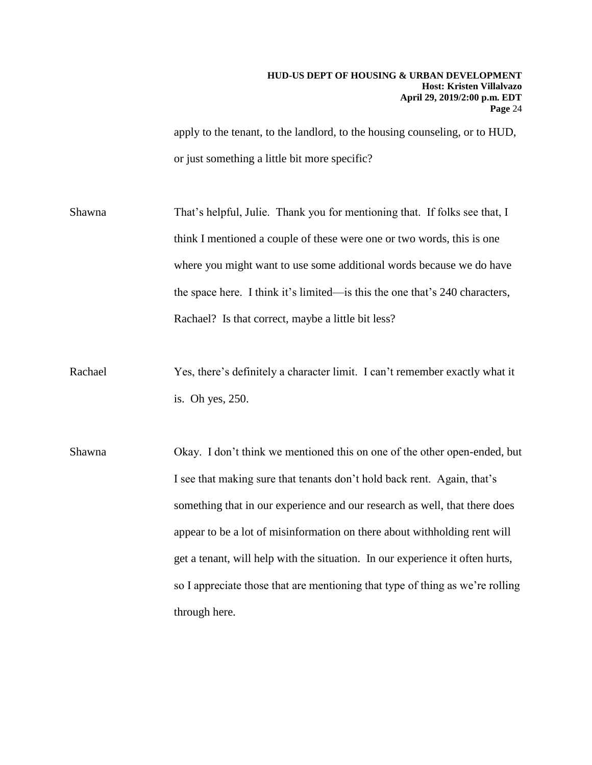apply to the tenant, to the landlord, to the housing counseling, or to HUD, or just something a little bit more specific?

 where you might want to use some additional words because we do have Rachael? Is that correct, maybe a little bit less? Shawna That's helpful, Julie. Thank you for mentioning that. If folks see that, I think I mentioned a couple of these were one or two words, this is one the space here. I think it's limited—is this the one that's 240 characters,

- Rachael Yes, there's definitely a character limit. I can't remember exactly what it is. Oh yes, 250.
- Shawna Okay. I don't think we mentioned this on one of the other open-ended, but I see that making sure that tenants don't hold back rent. Again, that's something that in our experience and our research as well, that there does appear to be a lot of misinformation on there about withholding rent will get a tenant, will help with the situation. In our experience it often hurts, so I appreciate those that are mentioning that type of thing as we're rolling through here.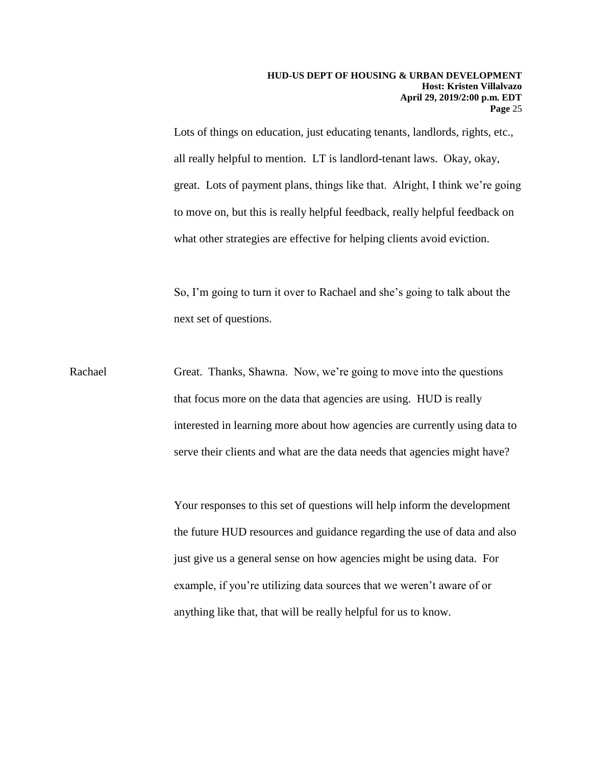great. Lots of payment plans, things like that. Alright, I think we're going Lots of things on education, just educating tenants, landlords, rights, etc., all really helpful to mention. LT is landlord-tenant laws. Okay, okay, to move on, but this is really helpful feedback, really helpful feedback on what other strategies are effective for helping clients avoid eviction.

So, I'm going to turn it over to Rachael and she's going to talk about the next set of questions.

 serve their clients and what are the data needs that agencies might have? Rachael Great. Thanks, Shawna. Now, we're going to move into the questions that focus more on the data that agencies are using. HUD is really interested in learning more about how agencies are currently using data to

> Your responses to this set of questions will help inform the development the future HUD resources and guidance regarding the use of data and also just give us a general sense on how agencies might be using data. For example, if you're utilizing data sources that we weren't aware of or anything like that, that will be really helpful for us to know.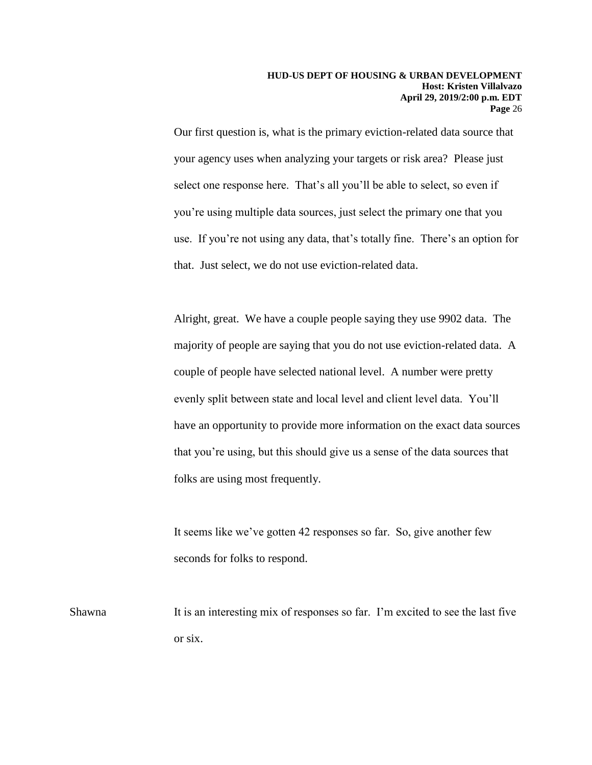use. If you're not using any data, that's totally fine. There's an option for Our first question is, what is the primary eviction-related data source that your agency uses when analyzing your targets or risk area? Please just select one response here. That's all you'll be able to select, so even if you're using multiple data sources, just select the primary one that you that. Just select, we do not use eviction-related data.

Alright, great. We have a couple people saying they use 9902 data. The majority of people are saying that you do not use eviction-related data. A couple of people have selected national level. A number were pretty evenly split between state and local level and client level data. You'll have an opportunity to provide more information on the exact data sources that you're using, but this should give us a sense of the data sources that folks are using most frequently.

It seems like we've gotten 42 responses so far. So, give another few seconds for folks to respond.

Shawna It is an interesting mix of responses so far. I'm excited to see the last five or six.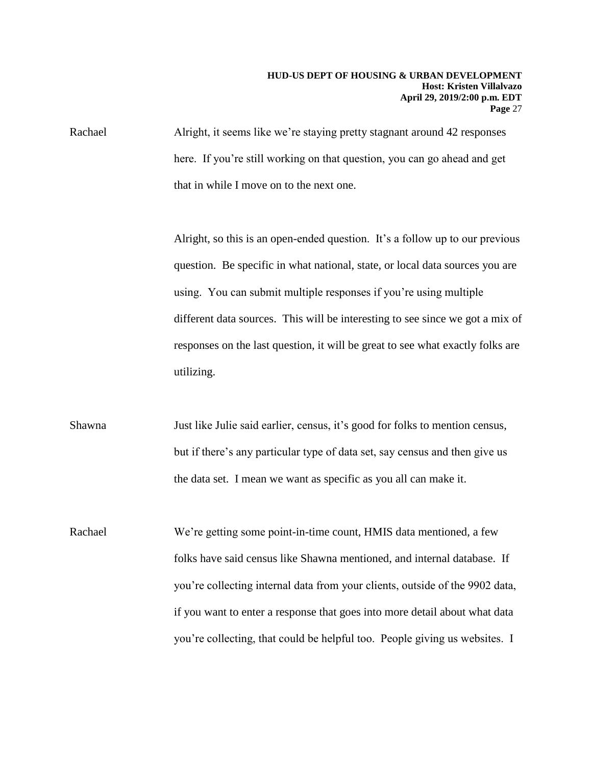Rachael Alright, it seems like we're staying pretty stagnant around 42 responses here. If you're still working on that question, you can go ahead and get that in while I move on to the next one.

> Alright, so this is an open-ended question. It's a follow up to our previous question. Be specific in what national, state, or local data sources you are using. You can submit multiple responses if you're using multiple different data sources. This will be interesting to see since we got a mix of responses on the last question, it will be great to see what exactly folks are utilizing.

the data set. I mean we want as specific as you all can make it. Shawna Just like Julie said earlier, census, it's good for folks to mention census, but if there's any particular type of data set, say census and then give us

Rachael We're getting some point-in-time count, HMIS data mentioned, a few folks have said census like Shawna mentioned, and internal database. If you're collecting internal data from your clients, outside of the 9902 data, if you want to enter a response that goes into more detail about what data you're collecting, that could be helpful too. People giving us websites. I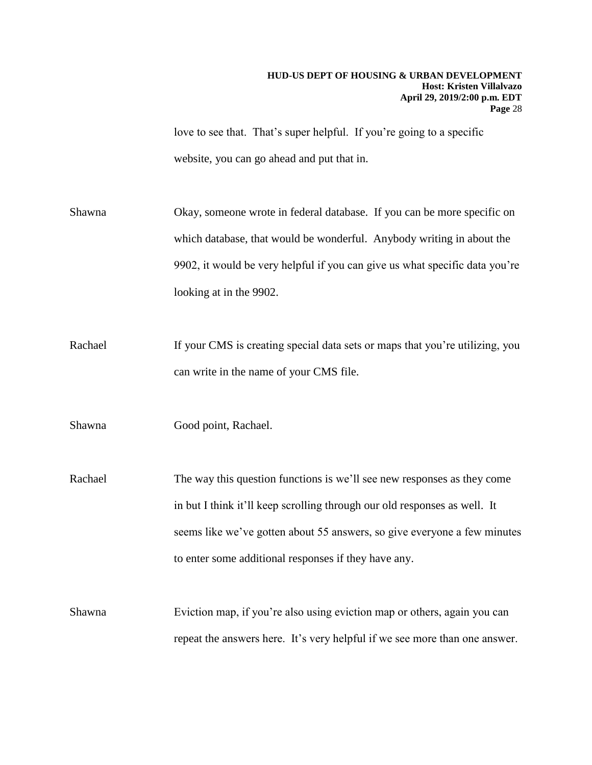love to see that. That's super helpful. If you're going to a specific website, you can go ahead and put that in.

Shawna Okay, someone wrote in federal database. If you can be more specific on which database, that would be wonderful. Anybody writing in about the 9902, it would be very helpful if you can give us what specific data you're looking at in the 9902.

Rachael If your CMS is creating special data sets or maps that you're utilizing, you can write in the name of your CMS file.

Shawna Good point, Rachael.

 seems like we've gotten about 55 answers, so give everyone a few minutes Rachael The way this question functions is we'll see new responses as they come in but I think it'll keep scrolling through our old responses as well. It to enter some additional responses if they have any.

 Shawna Eviction map, if you're also using eviction map or others, again you can repeat the answers here. It's very helpful if we see more than one answer.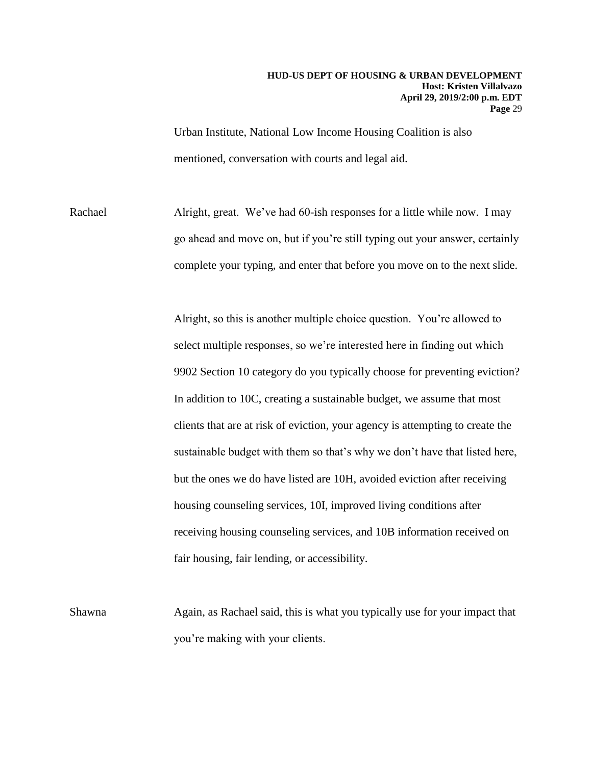Urban Institute, National Low Income Housing Coalition is also mentioned, conversation with courts and legal aid.

Rachael Alright, great. We've had 60-ish responses for a little while now. I may go ahead and move on, but if you're still typing out your answer, certainly complete your typing, and enter that before you move on to the next slide.

> 9902 Section 10 category do you typically choose for preventing eviction? Alright, so this is another multiple choice question. You're allowed to select multiple responses, so we're interested here in finding out which In addition to 10C, creating a sustainable budget, we assume that most clients that are at risk of eviction, your agency is attempting to create the sustainable budget with them so that's why we don't have that listed here, but the ones we do have listed are 10H, avoided eviction after receiving housing counseling services, 10I, improved living conditions after receiving housing counseling services, and 10B information received on fair housing, fair lending, or accessibility.

Shawna Again, as Rachael said, this is what you typically use for your impact that you're making with your clients.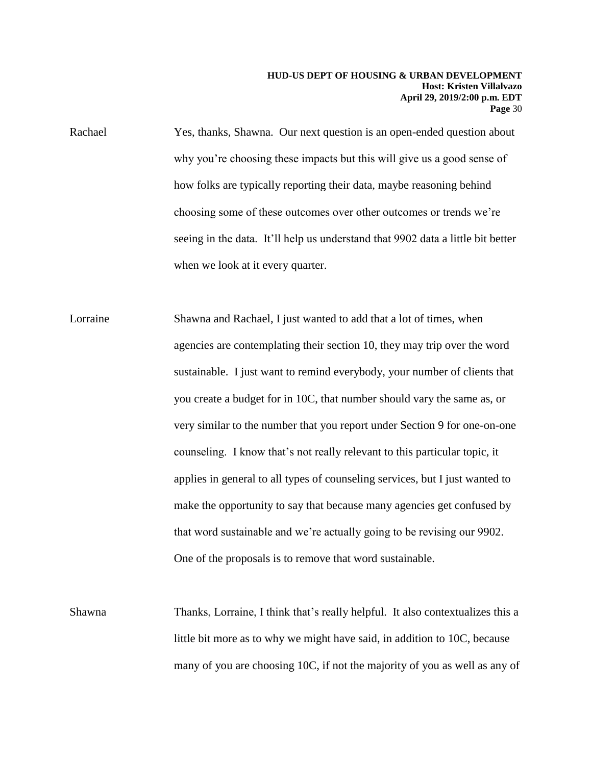why you're choosing these impacts but this will give us a good sense of Rachael Yes, thanks, Shawna. Our next question is an open-ended question about how folks are typically reporting their data, maybe reasoning behind choosing some of these outcomes over other outcomes or trends we're seeing in the data. It'll help us understand that 9902 data a little bit better when we look at it every quarter.

Lorraine Shawna and Rachael, I just wanted to add that a lot of times, when agencies are contemplating their section 10, they may trip over the word sustainable. I just want to remind everybody, your number of clients that you create a budget for in 10C, that number should vary the same as, or very similar to the number that you report under Section 9 for one-on-one counseling. I know that's not really relevant to this particular topic, it applies in general to all types of counseling services, but I just wanted to make the opportunity to say that because many agencies get confused by that word sustainable and we're actually going to be revising our 9902. One of the proposals is to remove that word sustainable.

Shawna Thanks, Lorraine, I think that's really helpful. It also contextualizes this a little bit more as to why we might have said, in addition to 10C, because many of you are choosing 10C, if not the majority of you as well as any of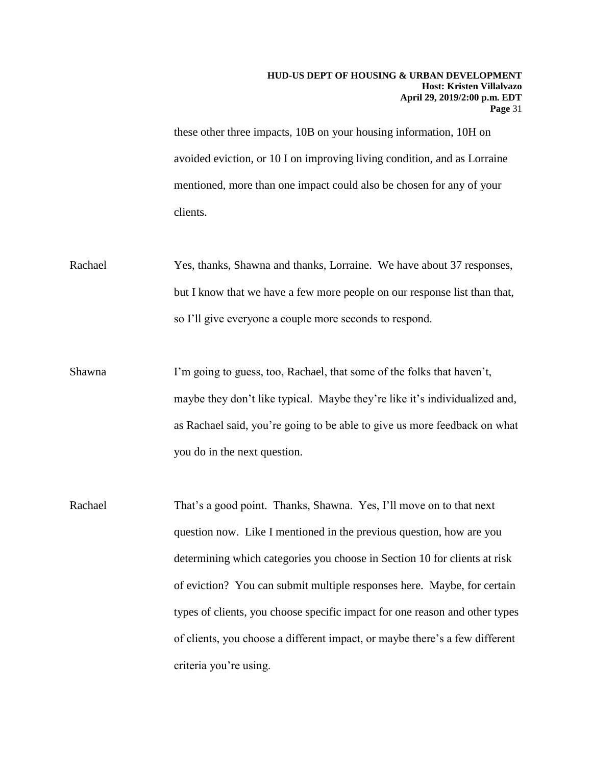these other three impacts, 10B on your housing information, 10H on avoided eviction, or 10 I on improving living condition, and as Lorraine mentioned, more than one impact could also be chosen for any of your clients.

- Rachael Yes, thanks, Shawna and thanks, Lorraine. We have about 37 responses, but I know that we have a few more people on our response list than that, so I'll give everyone a couple more seconds to respond.
- Shawna I'm going to guess, too, Rachael, that some of the folks that haven't, maybe they don't like typical. Maybe they're like it's individualized and, as Rachael said, you're going to be able to give us more feedback on what you do in the next question.
- Rachael That's a good point. Thanks, Shawna. Yes, I'll move on to that next question now. Like I mentioned in the previous question, how are you determining which categories you choose in Section 10 for clients at risk of eviction? You can submit multiple responses here. Maybe, for certain types of clients, you choose specific impact for one reason and other types of clients, you choose a different impact, or maybe there's a few different criteria you're using.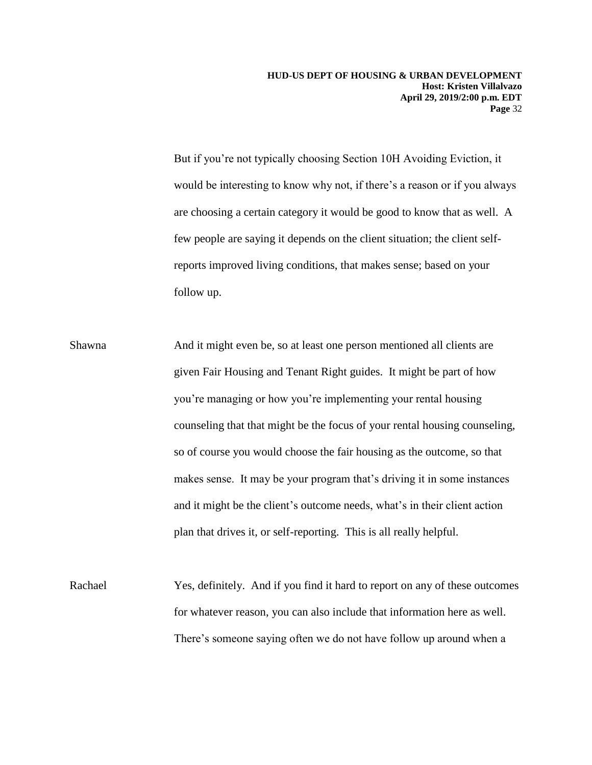But if you're not typically choosing Section 10H Avoiding Eviction, it would be interesting to know why not, if there's a reason or if you always are choosing a certain category it would be good to know that as well. A few people are saying it depends on the client situation; the client selfreports improved living conditions, that makes sense; based on your follow up.

Shawna And it might even be, so at least one person mentioned all clients are given Fair Housing and Tenant Right guides. It might be part of how you're managing or how you're implementing your rental housing counseling that that might be the focus of your rental housing counseling, so of course you would choose the fair housing as the outcome, so that makes sense. It may be your program that's driving it in some instances and it might be the client's outcome needs, what's in their client action plan that drives it, or self-reporting. This is all really helpful.

Rachael Yes, definitely. And if you find it hard to report on any of these outcomes for whatever reason, you can also include that information here as well. There's someone saying often we do not have follow up around when a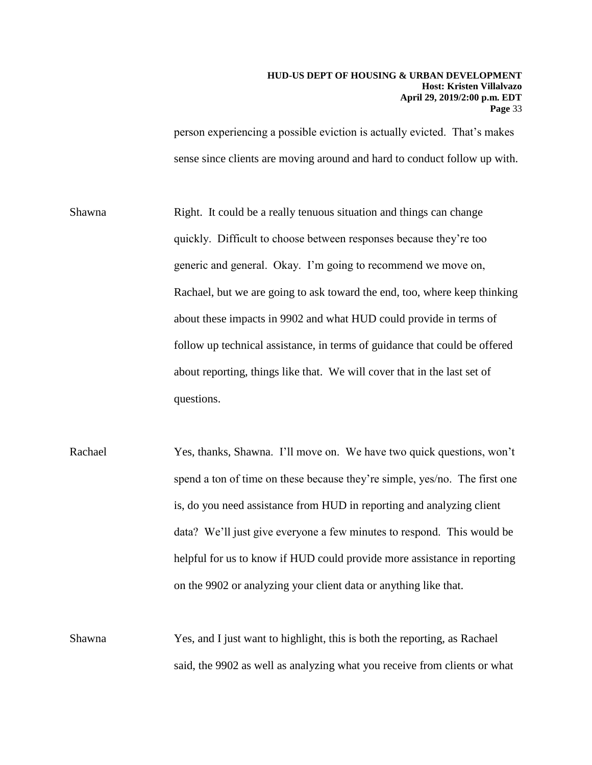person experiencing a possible eviction is actually evicted. That's makes sense since clients are moving around and hard to conduct follow up with.

 Rachael, but we are going to ask toward the end, too, where keep thinking Shawna Right. It could be a really tenuous situation and things can change quickly. Difficult to choose between responses because they're too generic and general. Okay. I'm going to recommend we move on, about these impacts in 9902 and what HUD could provide in terms of follow up technical assistance, in terms of guidance that could be offered about reporting, things like that. We will cover that in the last set of questions.

- data? We'll just give everyone a few minutes to respond. This would be Rachael Yes, thanks, Shawna. I'll move on. We have two quick questions, won't spend a ton of time on these because they're simple, yes/no. The first one is, do you need assistance from HUD in reporting and analyzing client helpful for us to know if HUD could provide more assistance in reporting on the 9902 or analyzing your client data or anything like that.
- Shawna Yes, and I just want to highlight, this is both the reporting, as Rachael said, the 9902 as well as analyzing what you receive from clients or what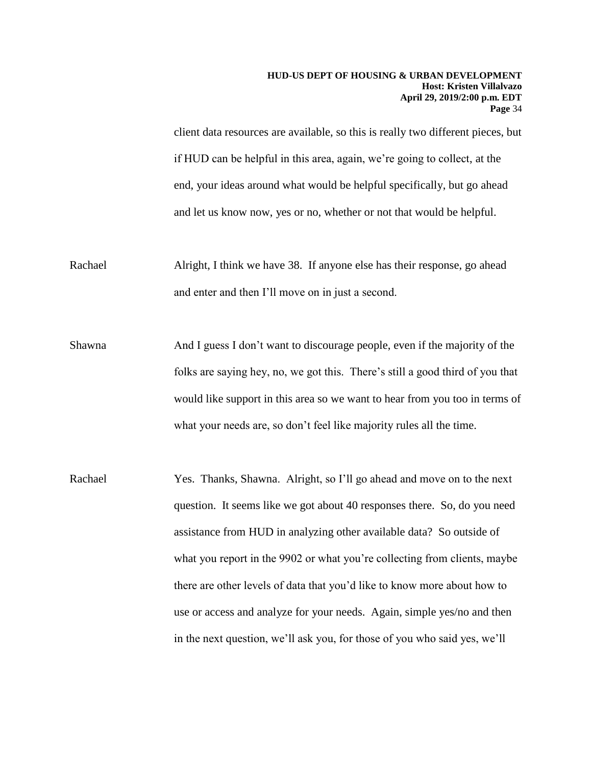client data resources are available, so this is really two different pieces, but if HUD can be helpful in this area, again, we're going to collect, at the end, your ideas around what would be helpful specifically, but go ahead and let us know now, yes or no, whether or not that would be helpful.

Rachael Alright, I think we have 38. If anyone else has their response, go ahead and enter and then I'll move on in just a second.

Shawna And I guess I don't want to discourage people, even if the majority of the folks are saying hey, no, we got this. There's still a good third of you that would like support in this area so we want to hear from you too in terms of what your needs are, so don't feel like majority rules all the time.

Rachael Yes. Thanks, Shawna. Alright, so I'll go ahead and move on to the next question. It seems like we got about 40 responses there. So, do you need assistance from HUD in analyzing other available data? So outside of what you report in the 9902 or what you're collecting from clients, maybe there are other levels of data that you'd like to know more about how to use or access and analyze for your needs. Again, simple yes/no and then in the next question, we'll ask you, for those of you who said yes, we'll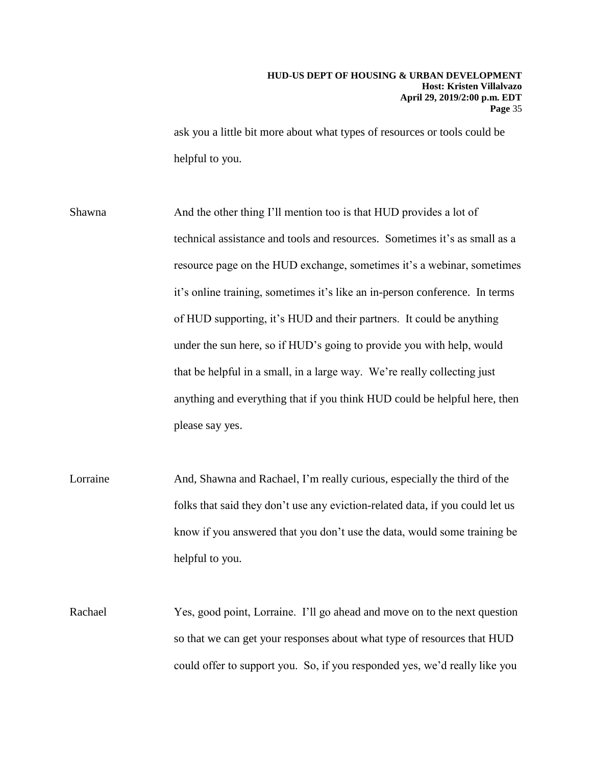ask you a little bit more about what types of resources or tools could be helpful to you.

Shawna And the other thing I'll mention too is that HUD provides a lot of technical assistance and tools and resources. Sometimes it's as small as a resource page on the HUD exchange, sometimes it's a webinar, sometimes it's online training, sometimes it's like an in-person conference. In terms of HUD supporting, it's HUD and their partners. It could be anything under the sun here, so if HUD's going to provide you with help, would that be helpful in a small, in a large way. We're really collecting just anything and everything that if you think HUD could be helpful here, then please say yes.

Lorraine And, Shawna and Rachael, I'm really curious, especially the third of the folks that said they don't use any eviction-related data, if you could let us know if you answered that you don't use the data, would some training be helpful to you.

Rachael Yes, good point, Lorraine. I'll go ahead and move on to the next question so that we can get your responses about what type of resources that HUD could offer to support you. So, if you responded yes, we'd really like you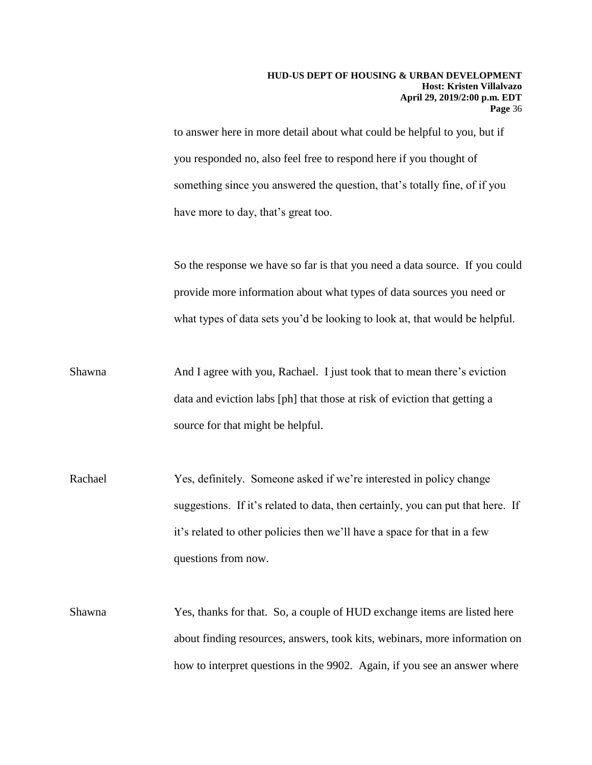something since you answered the question, that's totally fine, of if you to answer here in more detail about what could be helpful to you, but if you responded no, also feel free to respond here if you thought of have more to day, that's great too.

So the response we have so far is that you need a data source. If you could provide more information about what types of data sources you need or what types of data sets you'd be looking to look at, that would be helpful.

- Shawna And I agree with you, Rachael. I just took that to mean there's eviction data and eviction labs [ph] that those at risk of eviction that getting a source for that might be helpful.
- Rachael Yes, definitely. Someone asked if we're interested in policy change suggestions. If it's related to data, then certainly, you can put that here. If it's related to other policies then we'll have a space for that in a few questions from now.
- Shawna Yes, thanks for that. So, a couple of HUD exchange items are listed here about finding resources, answers, took kits, webinars, more information on how to interpret questions in the 9902. Again, if you see an answer where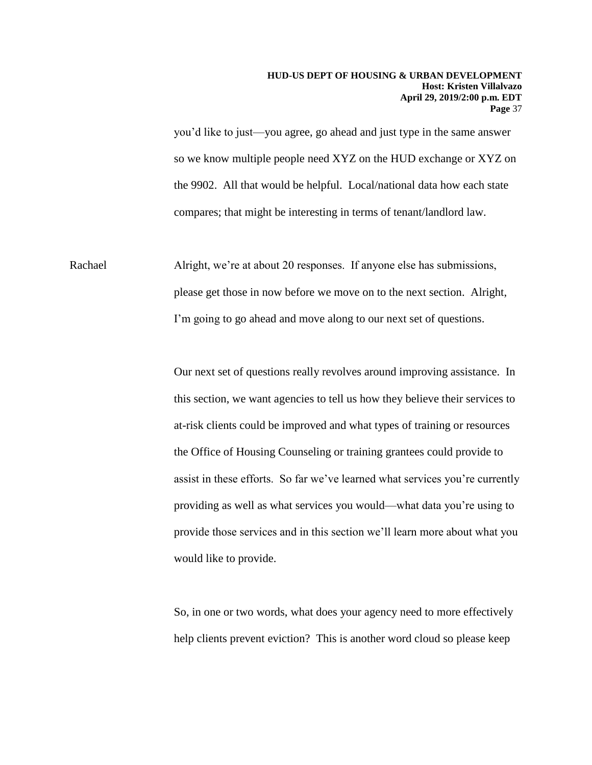you'd like to just—you agree, go ahead and just type in the same answer so we know multiple people need XYZ on the HUD exchange or XYZ on the 9902. All that would be helpful. Local/national data how each state compares; that might be interesting in terms of tenant/landlord law.

Rachael Alright, we're at about 20 responses. If anyone else has submissions, please get those in now before we move on to the next section. Alright, I'm going to go ahead and move along to our next set of questions.

> assist in these efforts. So far we've learned what services you're currently Our next set of questions really revolves around improving assistance. In this section, we want agencies to tell us how they believe their services to at-risk clients could be improved and what types of training or resources the Office of Housing Counseling or training grantees could provide to providing as well as what services you would—what data you're using to provide those services and in this section we'll learn more about what you would like to provide.

So, in one or two words, what does your agency need to more effectively help clients prevent eviction? This is another word cloud so please keep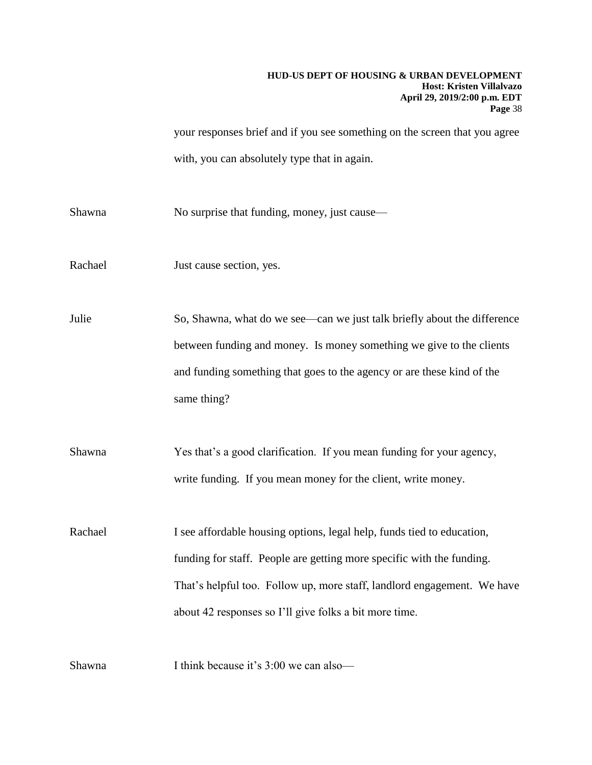your responses brief and if you see something on the screen that you agree with, you can absolutely type that in again.

Shawna No surprise that funding, money, just cause—

Rachael Just cause section, yes.

Julie So, Shawna, what do we see—can we just talk briefly about the difference between funding and money. Is money something we give to the clients and funding something that goes to the agency or are these kind of the same thing?

Shawna Yes that's a good clarification. If you mean funding for your agency, write funding. If you mean money for the client, write money.

Rachael I see affordable housing options, legal help, funds tied to education, funding for staff. People are getting more specific with the funding. That's helpful too. Follow up, more staff, landlord engagement. We have about 42 responses so I'll give folks a bit more time.

Shawna I think because it's 3:00 we can also—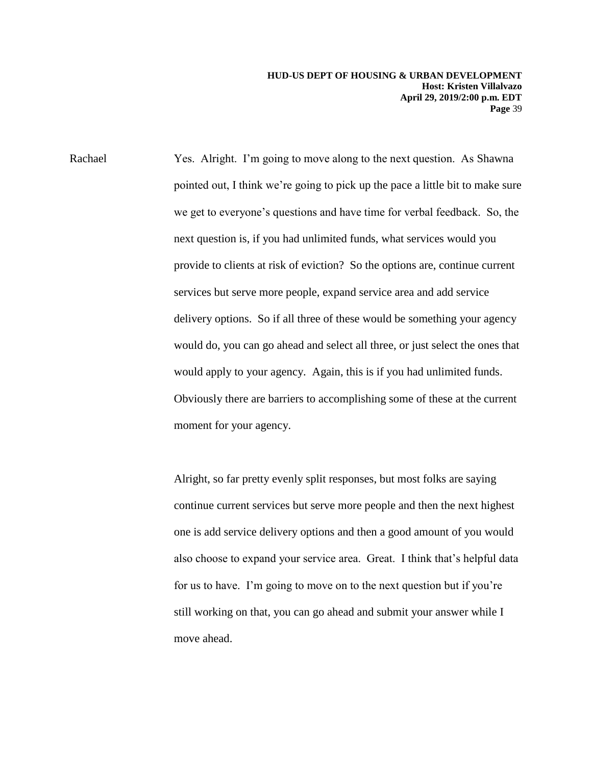provide to clients at risk of eviction? So the options are, continue current delivery options. So if all three of these would be something your agency moment for your agency. Rachael Yes. Alright. I'm going to move along to the next question. As Shawna pointed out, I think we're going to pick up the pace a little bit to make sure we get to everyone's questions and have time for verbal feedback. So, the next question is, if you had unlimited funds, what services would you services but serve more people, expand service area and add service would do, you can go ahead and select all three, or just select the ones that would apply to your agency. Again, this is if you had unlimited funds. Obviously there are barriers to accomplishing some of these at the current

> still working on that, you can go ahead and submit your answer while I Alright, so far pretty evenly split responses, but most folks are saying continue current services but serve more people and then the next highest one is add service delivery options and then a good amount of you would also choose to expand your service area. Great. I think that's helpful data for us to have. I'm going to move on to the next question but if you're move ahead.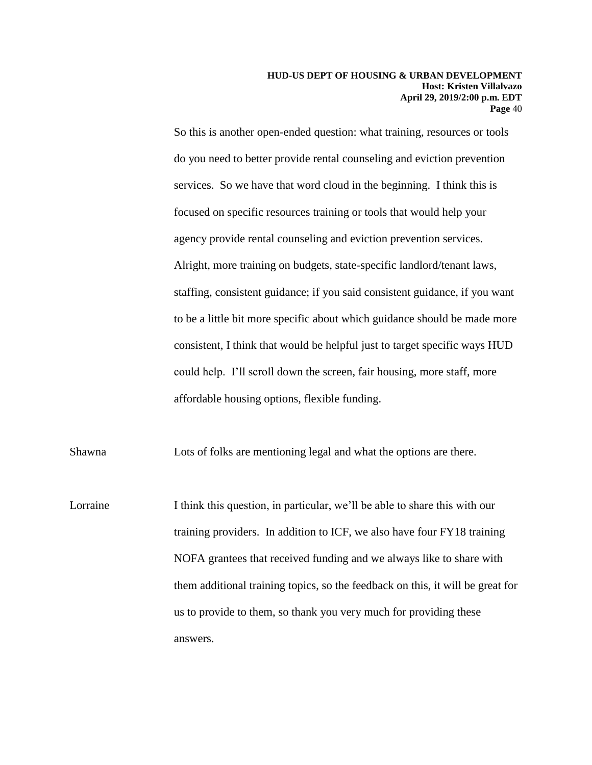So this is another open-ended question: what training, resources or tools do you need to better provide rental counseling and eviction prevention services. So we have that word cloud in the beginning. I think this is focused on specific resources training or tools that would help your agency provide rental counseling and eviction prevention services. Alright, more training on budgets, state-specific landlord/tenant laws, staffing, consistent guidance; if you said consistent guidance, if you want to be a little bit more specific about which guidance should be made more consistent, I think that would be helpful just to target specific ways HUD could help. I'll scroll down the screen, fair housing, more staff, more affordable housing options, flexible funding.

Shawna Lots of folks are mentioning legal and what the options are there.

 NOFA grantees that received funding and we always like to share with Lorraine I think this question, in particular, we'll be able to share this with our training providers. In addition to ICF, we also have four FY18 training them additional training topics, so the feedback on this, it will be great for us to provide to them, so thank you very much for providing these answers.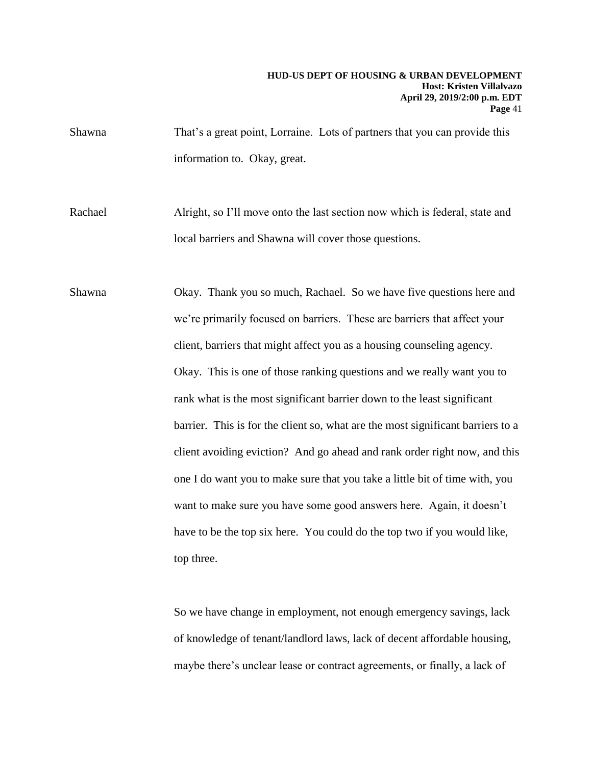Shawna That's a great point, Lorraine. Lots of partners that you can provide this information to. Okay, great.

Rachael Alright, so I'll move onto the last section now which is federal, state and local barriers and Shawna will cover those questions.

Shawna Okay. Thank you so much, Rachael. So we have five questions here and we're primarily focused on barriers. These are barriers that affect your client, barriers that might affect you as a housing counseling agency. Okay. This is one of those ranking questions and we really want you to rank what is the most significant barrier down to the least significant barrier. This is for the client so, what are the most significant barriers to a client avoiding eviction? And go ahead and rank order right now, and this one I do want you to make sure that you take a little bit of time with, you want to make sure you have some good answers here. Again, it doesn't have to be the top six here. You could do the top two if you would like, top three.

> So we have change in employment, not enough emergency savings, lack of knowledge of tenant/landlord laws, lack of decent affordable housing, maybe there's unclear lease or contract agreements, or finally, a lack of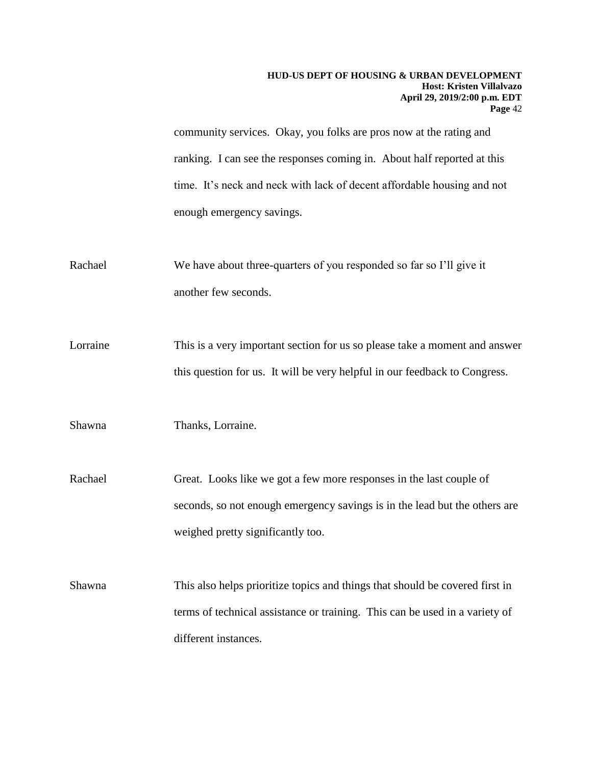community services. Okay, you folks are pros now at the rating and ranking. I can see the responses coming in. About half reported at this time. It's neck and neck with lack of decent affordable housing and not enough emergency savings.

- Rachael We have about three-quarters of you responded so far so I'll give it another few seconds.
- Lorraine This is a very important section for us so please take a moment and answer this question for us. It will be very helpful in our feedback to Congress.

Shawna Thanks, Lorraine.

- Rachael Great. Looks like we got a few more responses in the last couple of seconds, so not enough emergency savings is in the lead but the others are weighed pretty significantly too.
- Shawna This also helps prioritize topics and things that should be covered first in terms of technical assistance or training. This can be used in a variety of different instances.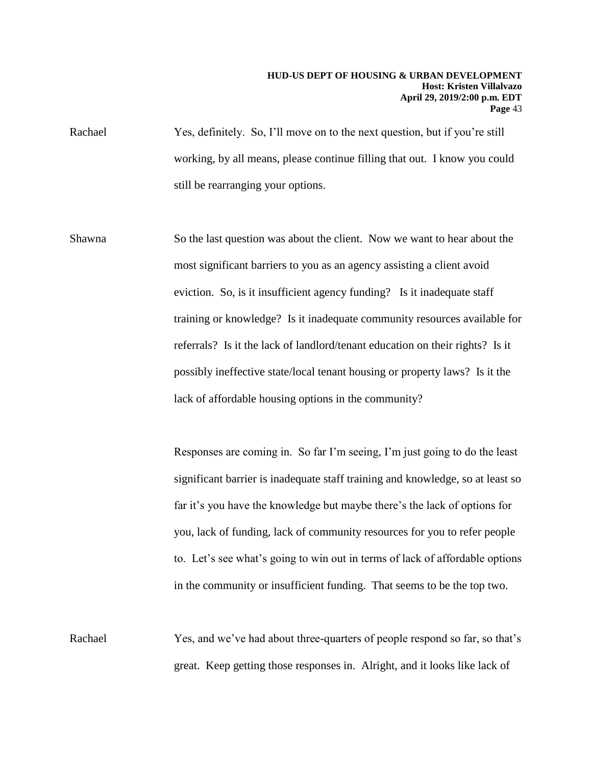Rachael Yes, definitely. So, I'll move on to the next question, but if you're still working, by all means, please continue filling that out. I know you could still be rearranging your options.

 training or knowledge? Is it inadequate community resources available for referrals? Is it the lack of landlord/tenant education on their rights? Is it possibly ineffective state/local tenant housing or property laws? Is it the lack of affordable housing options in the community? Shawna So the last question was about the client. Now we want to hear about the most significant barriers to you as an agency assisting a client avoid eviction. So, is it insufficient agency funding? Is it inadequate staff

> Responses are coming in. So far I'm seeing, I'm just going to do the least significant barrier is inadequate staff training and knowledge, so at least so far it's you have the knowledge but maybe there's the lack of options for you, lack of funding, lack of community resources for you to refer people to. Let's see what's going to win out in terms of lack of affordable options in the community or insufficient funding. That seems to be the top two.

Rachael Yes, and we've had about three-quarters of people respond so far, so that's great. Keep getting those responses in. Alright, and it looks like lack of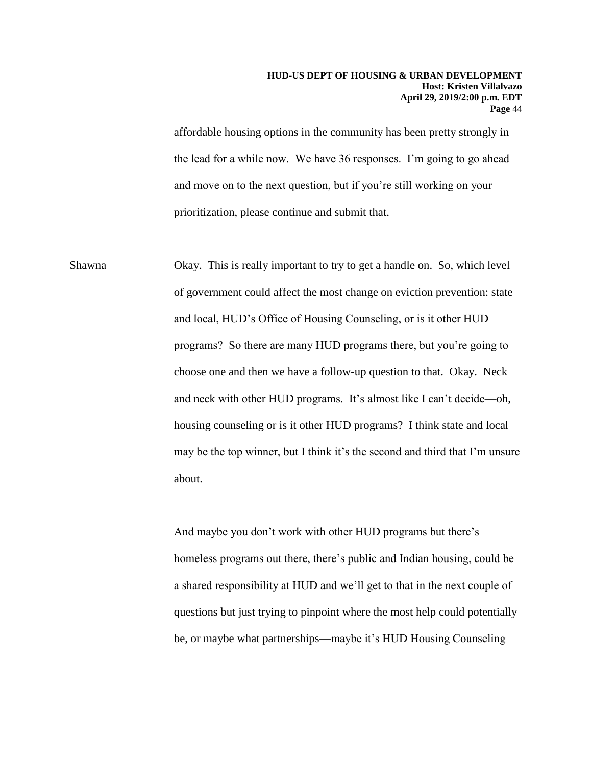affordable housing options in the community has been pretty strongly in the lead for a while now. We have 36 responses. I'm going to go ahead and move on to the next question, but if you're still working on your prioritization, please continue and submit that.

 housing counseling or is it other HUD programs? I think state and local Shawna Okay. This is really important to try to get a handle on. So, which level of government could affect the most change on eviction prevention: state and local, HUD's Office of Housing Counseling, or is it other HUD programs? So there are many HUD programs there, but you're going to choose one and then we have a follow-up question to that. Okay. Neck and neck with other HUD programs. It's almost like I can't decide—oh, may be the top winner, but I think it's the second and third that I'm unsure about.

> And maybe you don't work with other HUD programs but there's homeless programs out there, there's public and Indian housing, could be a shared responsibility at HUD and we'll get to that in the next couple of questions but just trying to pinpoint where the most help could potentially be, or maybe what partnerships—maybe it's HUD Housing Counseling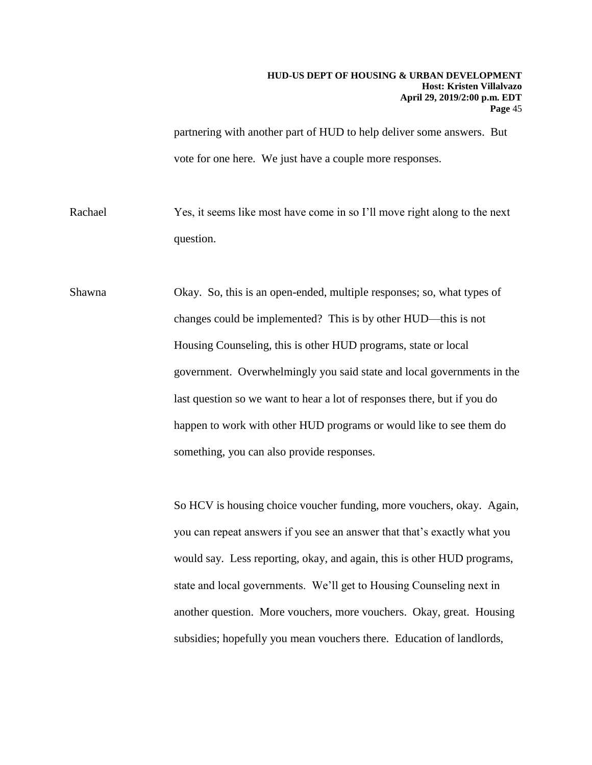partnering with another part of HUD to help deliver some answers. But vote for one here. We just have a couple more responses.

Rachael Yes, it seems like most have come in so I'll move right along to the next question.

Shawna Okay. So, this is an open-ended, multiple responses; so, what types of changes could be implemented? This is by other HUD—this is not Housing Counseling, this is other HUD programs, state or local government. Overwhelmingly you said state and local governments in the last question so we want to hear a lot of responses there, but if you do happen to work with other HUD programs or would like to see them do something, you can also provide responses.

> So HCV is housing choice voucher funding, more vouchers, okay. Again, you can repeat answers if you see an answer that that's exactly what you would say. Less reporting, okay, and again, this is other HUD programs, state and local governments. We'll get to Housing Counseling next in another question. More vouchers, more vouchers. Okay, great. Housing subsidies; hopefully you mean vouchers there. Education of landlords,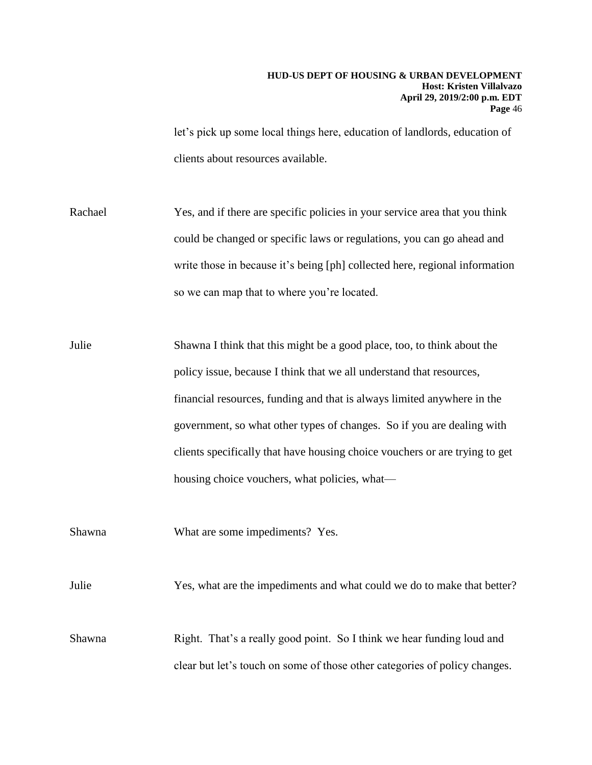let's pick up some local things here, education of landlords, education of clients about resources available.

Rachael Yes, and if there are specific policies in your service area that you think could be changed or specific laws or regulations, you can go ahead and write those in because it's being [ph] collected here, regional information so we can map that to where you're located.

Julie Shawna I think that this might be a good place, too, to think about the policy issue, because I think that we all understand that resources, financial resources, funding and that is always limited anywhere in the government, so what other types of changes. So if you are dealing with clients specifically that have housing choice vouchers or are trying to get housing choice vouchers, what policies, what—

Shawna What are some impediments? Yes.

Julie Yes, what are the impediments and what could we do to make that better?

Shawna Right. That's a really good point. So I think we hear funding loud and clear but let's touch on some of those other categories of policy changes.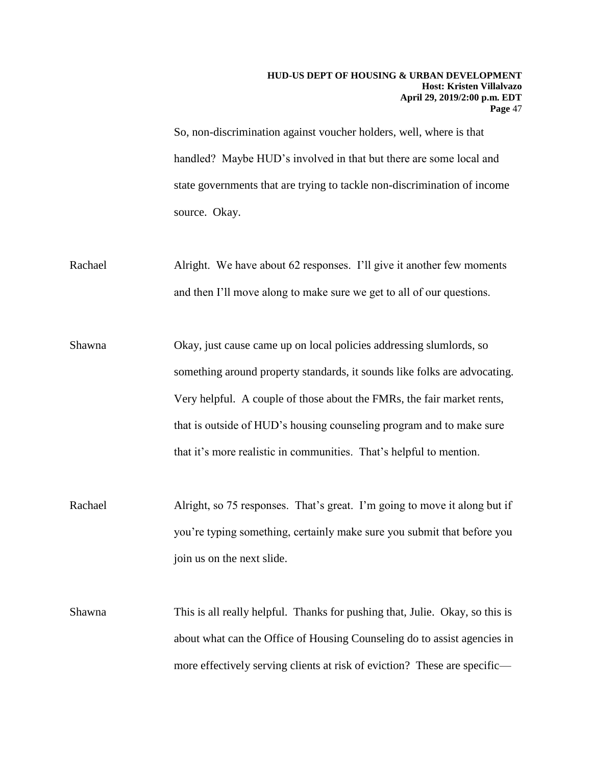So, non-discrimination against voucher holders, well, where is that handled? Maybe HUD's involved in that but there are some local and state governments that are trying to tackle non-discrimination of income source. Okay.

Rachael Alright. We have about 62 responses. I'll give it another few moments and then I'll move along to make sure we get to all of our questions.

Shawna Okay, just cause came up on local policies addressing slumlords, so something around property standards, it sounds like folks are advocating. Very helpful. A couple of those about the FMRs, the fair market rents, that is outside of HUD's housing counseling program and to make sure that it's more realistic in communities. That's helpful to mention.

Rachael Alright, so 75 responses. That's great. I'm going to move it along but if you're typing something, certainly make sure you submit that before you join us on the next slide.

Shawna This is all really helpful. Thanks for pushing that, Julie. Okay, so this is about what can the Office of Housing Counseling do to assist agencies in more effectively serving clients at risk of eviction? These are specific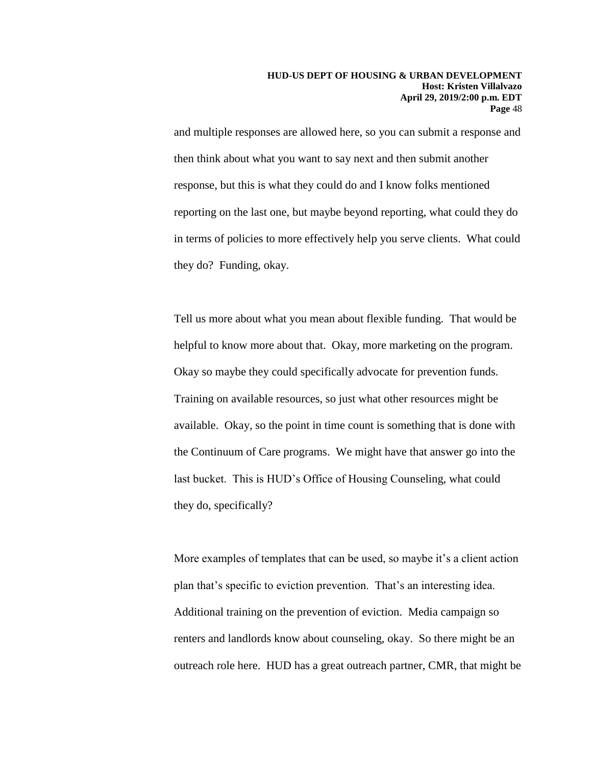and multiple responses are allowed here, so you can submit a response and then think about what you want to say next and then submit another response, but this is what they could do and I know folks mentioned reporting on the last one, but maybe beyond reporting, what could they do in terms of policies to more effectively help you serve clients. What could they do? Funding, okay.

they do, specifically? Tell us more about what you mean about flexible funding. That would be helpful to know more about that. Okay, more marketing on the program. Okay so maybe they could specifically advocate for prevention funds. Training on available resources, so just what other resources might be available. Okay, so the point in time count is something that is done with the Continuum of Care programs. We might have that answer go into the last bucket. This is HUD's Office of Housing Counseling, what could

More examples of templates that can be used, so maybe it's a client action plan that's specific to eviction prevention. That's an interesting idea. Additional training on the prevention of eviction. Media campaign so renters and landlords know about counseling, okay. So there might be an outreach role here. HUD has a great outreach partner, CMR, that might be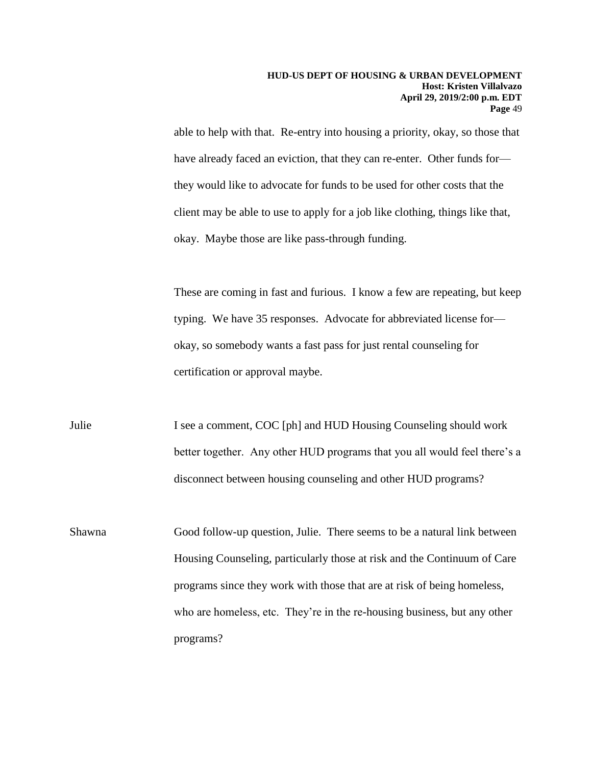able to help with that. Re-entry into housing a priority, okay, so those that have already faced an eviction, that they can re-enter. Other funds forthey would like to advocate for funds to be used for other costs that the client may be able to use to apply for a job like clothing, things like that, okay. Maybe those are like pass-through funding.

These are coming in fast and furious. I know a few are repeating, but keep typing. We have 35 responses. Advocate for abbreviated license for okay, so somebody wants a fast pass for just rental counseling for certification or approval maybe.

disconnect between housing counseling and other HUD programs? Julie I see a comment, COC [ph] and HUD Housing Counseling should work better together. Any other HUD programs that you all would feel there's a

 programs? Shawna Good follow-up question, Julie. There seems to be a natural link between Housing Counseling, particularly those at risk and the Continuum of Care programs since they work with those that are at risk of being homeless, who are homeless, etc. They're in the re-housing business, but any other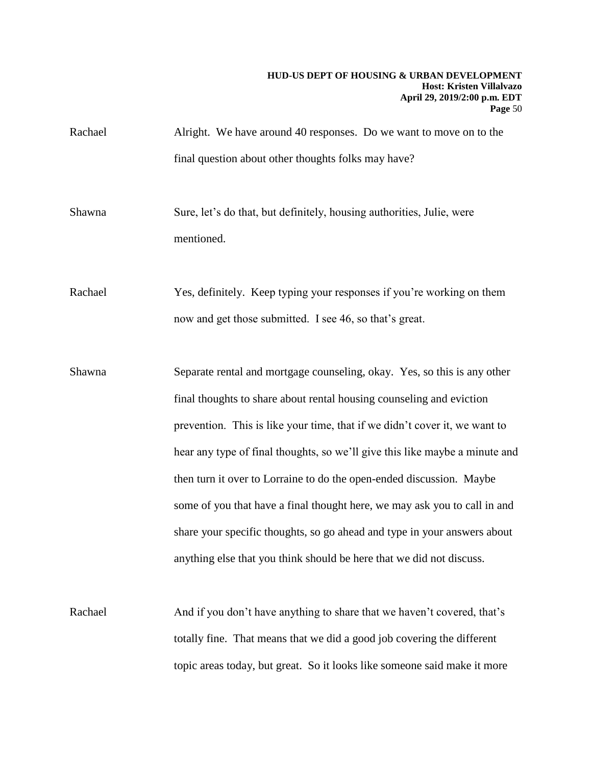Rachael Alright. We have around 40 responses. Do we want to move on to the final question about other thoughts folks may have?

Shawna Sure, let's do that, but definitely, housing authorities, Julie, were mentioned.

Rachael Yes, definitely. Keep typing your responses if you're working on them now and get those submitted. I see 46, so that's great.

Shawna Separate rental and mortgage counseling, okay. Yes, so this is any other final thoughts to share about rental housing counseling and eviction prevention. This is like your time, that if we didn't cover it, we want to hear any type of final thoughts, so we'll give this like maybe a minute and then turn it over to Lorraine to do the open-ended discussion. Maybe some of you that have a final thought here, we may ask you to call in and share your specific thoughts, so go ahead and type in your answers about anything else that you think should be here that we did not discuss.

Rachael And if you don't have anything to share that we haven't covered, that's totally fine. That means that we did a good job covering the different topic areas today, but great. So it looks like someone said make it more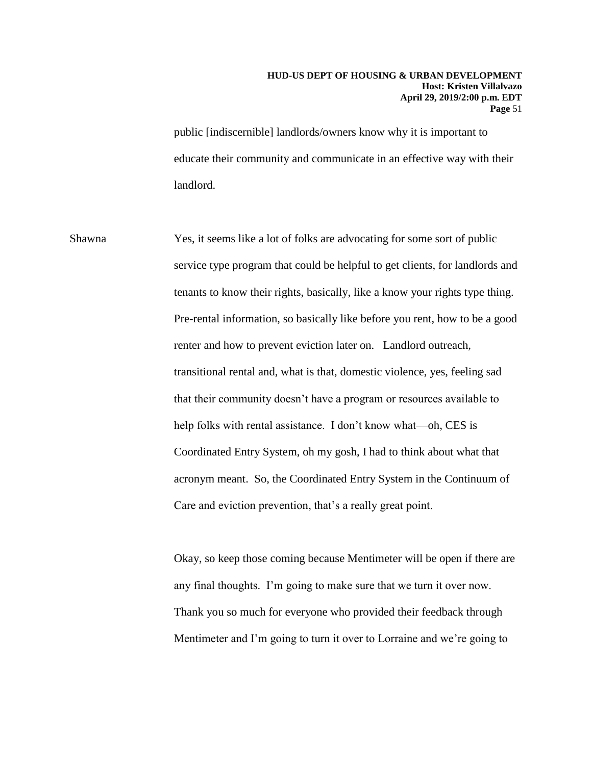public [indiscernible] landlords/owners know why it is important to educate their community and communicate in an effective way with their landlord.

 renter and how to prevent eviction later on. Landlord outreach, Shawna Yes, it seems like a lot of folks are advocating for some sort of public service type program that could be helpful to get clients, for landlords and tenants to know their rights, basically, like a know your rights type thing. Pre-rental information, so basically like before you rent, how to be a good transitional rental and, what is that, domestic violence, yes, feeling sad that their community doesn't have a program or resources available to help folks with rental assistance. I don't know what—oh, CES is Coordinated Entry System, oh my gosh, I had to think about what that acronym meant. So, the Coordinated Entry System in the Continuum of Care and eviction prevention, that's a really great point.

> Okay, so keep those coming because Mentimeter will be open if there are any final thoughts. I'm going to make sure that we turn it over now. Thank you so much for everyone who provided their feedback through Mentimeter and I'm going to turn it over to Lorraine and we're going to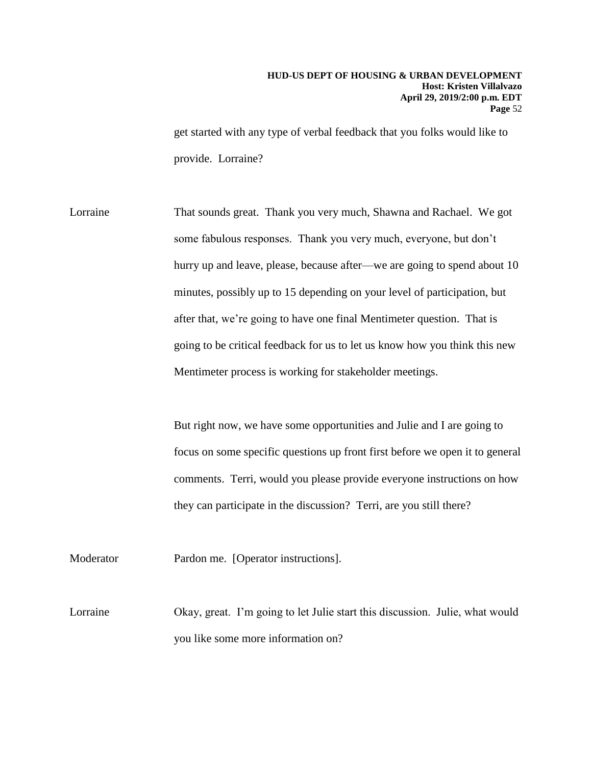provide. Lorraine? get started with any type of verbal feedback that you folks would like to

Lorraine That sounds great. Thank you very much, Shawna and Rachael. We got some fabulous responses. Thank you very much, everyone, but don't hurry up and leave, please, because after—we are going to spend about 10 minutes, possibly up to 15 depending on your level of participation, but after that, we're going to have one final Mentimeter question. That is going to be critical feedback for us to let us know how you think this new Mentimeter process is working for stakeholder meetings.

> they can participate in the discussion? Terri, are you still there? But right now, we have some opportunities and Julie and I are going to focus on some specific questions up front first before we open it to general comments. Terri, would you please provide everyone instructions on how

Moderator Pardon me. [Operator instructions].

 you like some more information on? Lorraine Okay, great. I'm going to let Julie start this discussion. Julie, what would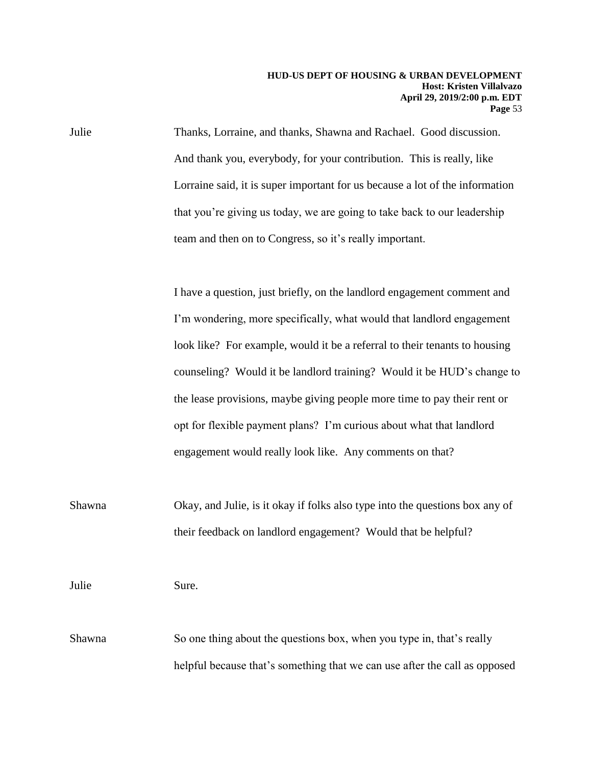Julie Thanks, Lorraine, and thanks, Shawna and Rachael. Good discussion. And thank you, everybody, for your contribution. This is really, like Lorraine said, it is super important for us because a lot of the information that you're giving us today, we are going to take back to our leadership team and then on to Congress, so it's really important.

> opt for flexible payment plans? I'm curious about what that landlord I have a question, just briefly, on the landlord engagement comment and I'm wondering, more specifically, what would that landlord engagement look like? For example, would it be a referral to their tenants to housing counseling? Would it be landlord training? Would it be HUD's change to the lease provisions, maybe giving people more time to pay their rent or engagement would really look like. Any comments on that?

Shawna Okay, and Julie, is it okay if folks also type into the questions box any of their feedback on landlord engagement? Would that be helpful?

Julie Sure.

 helpful because that's something that we can use after the call as opposed Shawna So one thing about the questions box, when you type in, that's really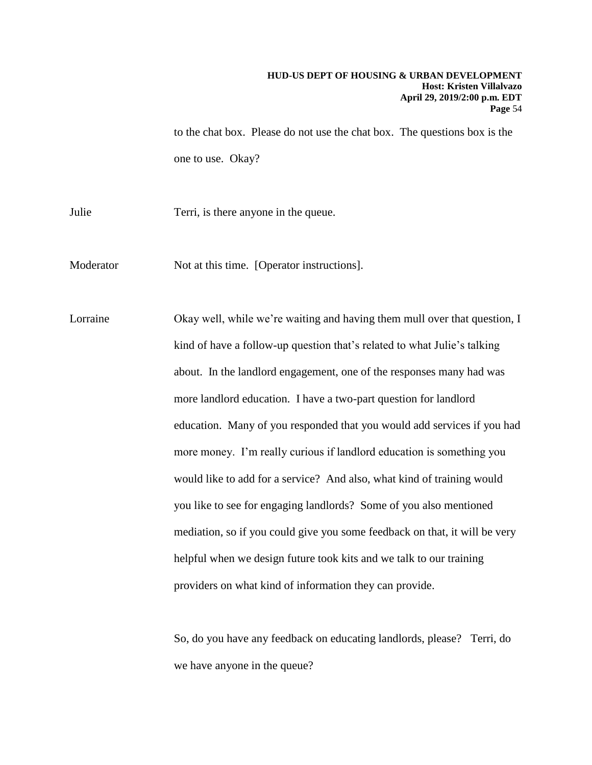one to use. Okay? to the chat box. Please do not use the chat box. The questions box is the

Julie Terri, is there anyone in the queue.

Moderator Not at this time. [Operator instructions].

 more landlord education. I have a two-part question for landlord Lorraine Okay well, while we're waiting and having them mull over that question, I kind of have a follow-up question that's related to what Julie's talking about. In the landlord engagement, one of the responses many had was education. Many of you responded that you would add services if you had more money. I'm really curious if landlord education is something you would like to add for a service? And also, what kind of training would you like to see for engaging landlords? Some of you also mentioned mediation, so if you could give you some feedback on that, it will be very helpful when we design future took kits and we talk to our training providers on what kind of information they can provide.

> So, do you have any feedback on educating landlords, please? Terri, do we have anyone in the queue?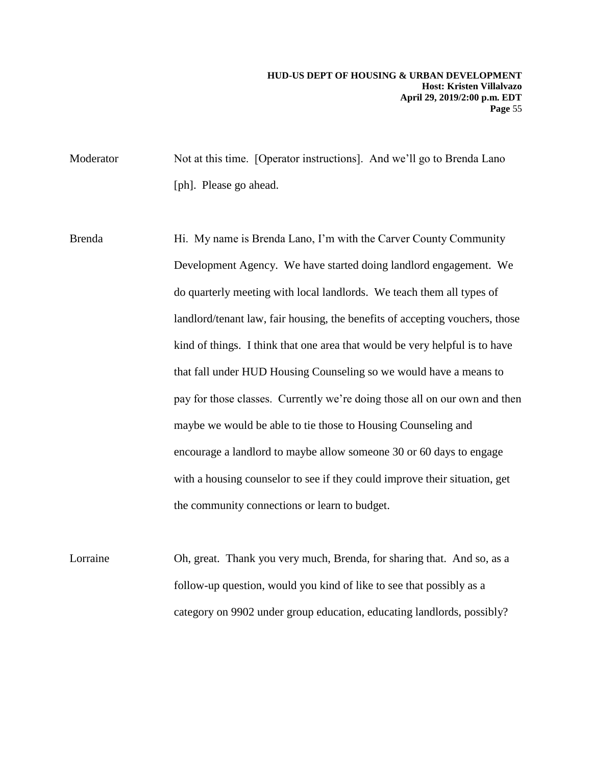Moderator Not at this time. [Operator instructions]. And we'll go to Brenda Lano [ph]. Please go ahead.

Brenda Hi. My name is Brenda Lano, I'm with the Carver County Community Development Agency. We have started doing landlord engagement. We do quarterly meeting with local landlords. We teach them all types of landlord/tenant law, fair housing, the benefits of accepting vouchers, those kind of things. I think that one area that would be very helpful is to have that fall under HUD Housing Counseling so we would have a means to pay for those classes. Currently we're doing those all on our own and then maybe we would be able to tie those to Housing Counseling and encourage a landlord to maybe allow someone 30 or 60 days to engage with a housing counselor to see if they could improve their situation, get the community connections or learn to budget.

 category on 9902 under group education, educating landlords, possibly? Lorraine Oh, great. Thank you very much, Brenda, for sharing that. And so, as a follow-up question, would you kind of like to see that possibly as a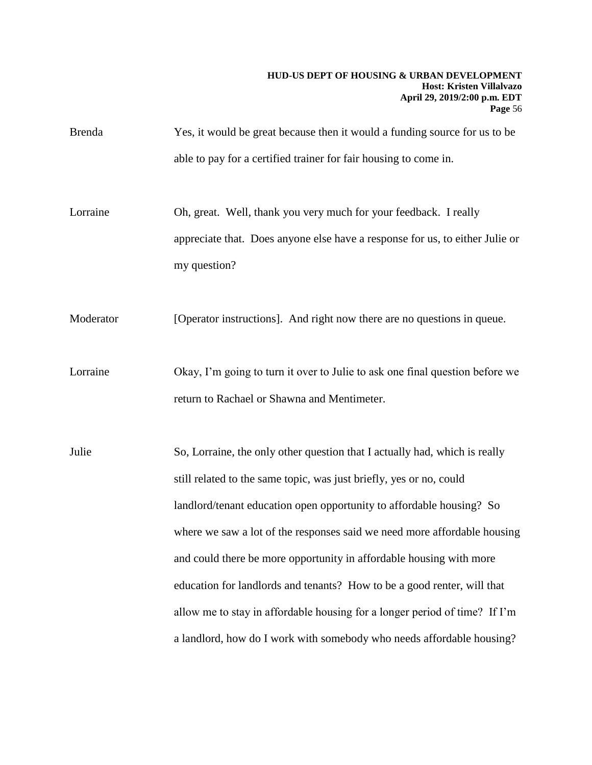Brenda Yes, it would be great because then it would a funding source for us to be able to pay for a certified trainer for fair housing to come in.

 Lorraine Oh, great. Well, thank you very much for your feedback. I really appreciate that. Does anyone else have a response for us, to either Julie or my question?

Moderator [Operator instructions]. And right now there are no questions in queue.

Lorraine Okay, I'm going to turn it over to Julie to ask one final question before we return to Rachael or Shawna and Mentimeter.

 allow me to stay in affordable housing for a longer period of time? If I'm a landlord, how do I work with somebody who needs affordable housing? Julie So, Lorraine, the only other question that I actually had, which is really still related to the same topic, was just briefly, yes or no, could landlord/tenant education open opportunity to affordable housing? So where we saw a lot of the responses said we need more affordable housing and could there be more opportunity in affordable housing with more education for landlords and tenants? How to be a good renter, will that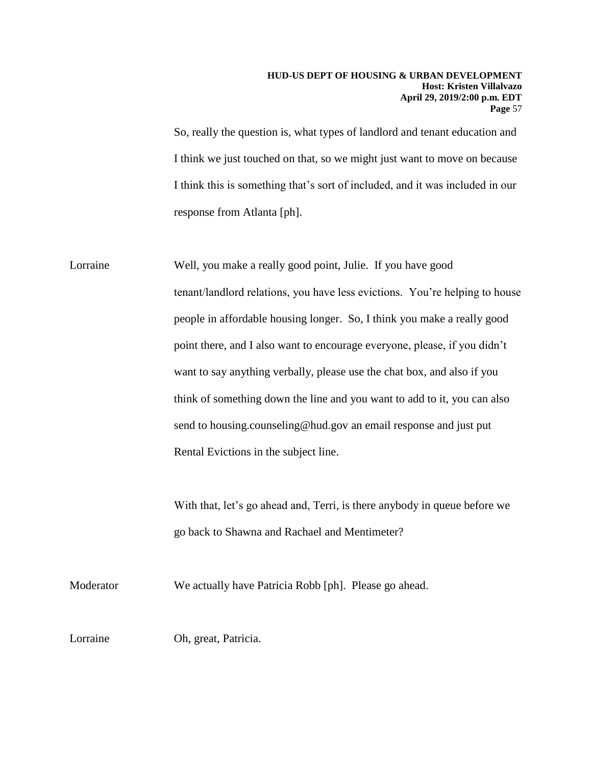So, really the question is, what types of landlord and tenant education and I think we just touched on that, so we might just want to move on because I think this is something that's sort of included, and it was included in our response from Atlanta [ph].

 Lorraine Well, you make a really good point, Julie. If you have good tenant/landlord relations, you have less evictions. You're helping to house people in affordable housing longer. So, I think you make a really good point there, and I also want to encourage everyone, please, if you didn't want to say anything verbally, please use the chat box, and also if you think of something down the line and you want to add to it, you can also send to housing.counseling@hud.gov an email response and just put Rental Evictions in the subject line. With that, let's go ahead and, Terri, is there anybody in queue before we go back to Shawna and Rachael and Mentimeter?

Moderator We actually have Patricia Robb [ph]. Please go ahead.

Lorraine Oh, great, Patricia.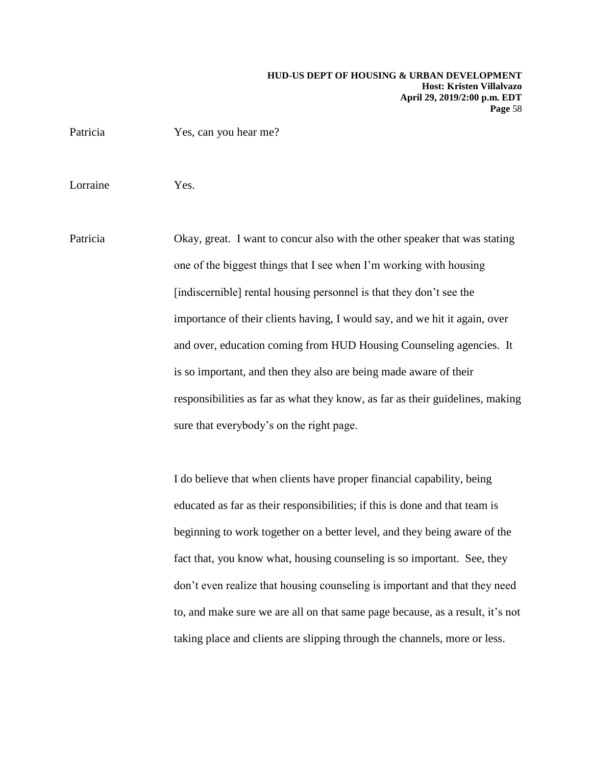Patricia Yes, can you hear me?

Lorraine Yes.

Patricia Okay, great. I want to concur also with the other speaker that was stating one of the biggest things that I see when I'm working with housing [indiscernible] rental housing personnel is that they don't see the importance of their clients having, I would say, and we hit it again, over and over, education coming from HUD Housing Counseling agencies. It is so important, and then they also are being made aware of their responsibilities as far as what they know, as far as their guidelines, making sure that everybody's on the right page.

> to, and make sure we are all on that same page because, as a result, it's not I do believe that when clients have proper financial capability, being educated as far as their responsibilities; if this is done and that team is beginning to work together on a better level, and they being aware of the fact that, you know what, housing counseling is so important. See, they don't even realize that housing counseling is important and that they need taking place and clients are slipping through the channels, more or less.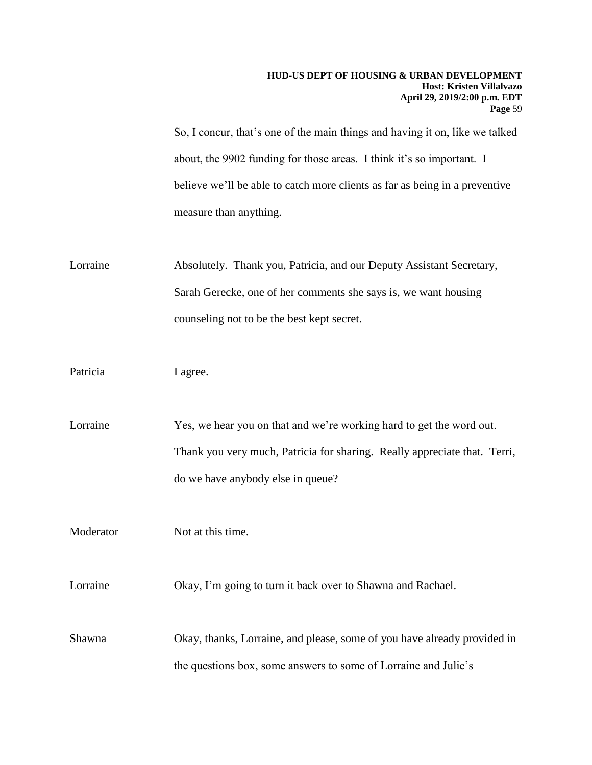So, I concur, that's one of the main things and having it on, like we talked about, the 9902 funding for those areas. I think it's so important. I believe we'll be able to catch more clients as far as being in a preventive measure than anything.

Lorraine Absolutely. Thank you, Patricia, and our Deputy Assistant Secretary, Sarah Gerecke, one of her comments she says is, we want housing counseling not to be the best kept secret.

Patricia I agree.

do we have anybody else in queue?<br>Moderator Not at this time. Lorraine Yes, we hear you on that and we're working hard to get the word out. Thank you very much, Patricia for sharing. Really appreciate that. Terri,

Lorraine Okay, I'm going to turn it back over to Shawna and Rachael.

Shawna Okay, thanks, Lorraine, and please, some of you have already provided in the questions box, some answers to some of Lorraine and Julie's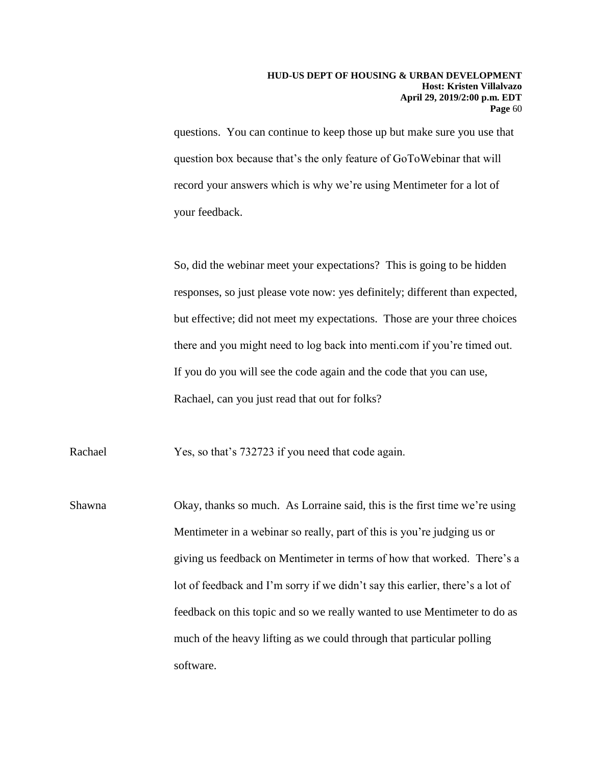questions. You can continue to keep those up but make sure you use that question box because that's the only feature of GoToWebinar that will record your answers which is why we're using Mentimeter for a lot of your feedback.

So, did the webinar meet your expectations? This is going to be hidden responses, so just please vote now: yes definitely; different than expected, but effective; did not meet my expectations. Those are your three choices there and you might need to log back into menti.com if you're timed out. If you do you will see the code again and the code that you can use, Rachael, can you just read that out for folks?

Rachael Yes, so that's 732723 if you need that code again.

Shawna Okay, thanks so much. As Lorraine said, this is the first time we're using Mentimeter in a webinar so really, part of this is you're judging us or giving us feedback on Mentimeter in terms of how that worked. There's a lot of feedback and I'm sorry if we didn't say this earlier, there's a lot of feedback on this topic and so we really wanted to use Mentimeter to do as much of the heavy lifting as we could through that particular polling software.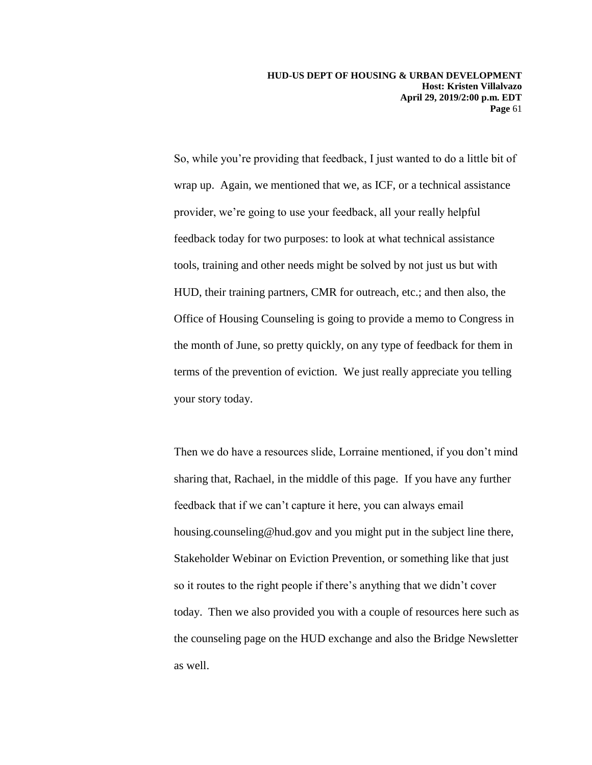provider, we're going to use your feedback, all your really helpful So, while you're providing that feedback, I just wanted to do a little bit of wrap up. Again, we mentioned that we, as ICF, or a technical assistance feedback today for two purposes: to look at what technical assistance tools, training and other needs might be solved by not just us but with HUD, their training partners, CMR for outreach, etc.; and then also, the Office of Housing Counseling is going to provide a memo to Congress in the month of June, so pretty quickly, on any type of feedback for them in terms of the prevention of eviction. We just really appreciate you telling your story today.

Then we do have a resources slide, Lorraine mentioned, if you don't mind sharing that, Rachael, in the middle of this page. If you have any further feedback that if we can't capture it here, you can always email housing.counseling@hud.gov and you might put in the subject line there, Stakeholder Webinar on Eviction Prevention, or something like that just so it routes to the right people if there's anything that we didn't cover today. Then we also provided you with a couple of resources here such as the counseling page on the HUD exchange and also the Bridge Newsletter as well.